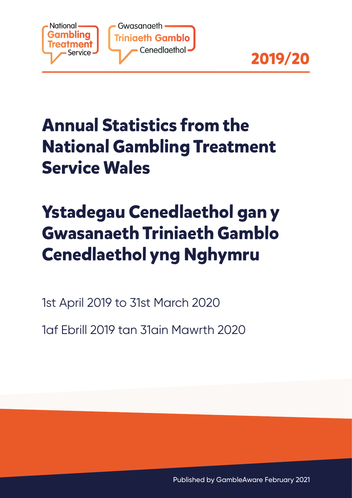



# **Annual Statistics from the National Gambling Treatment Service Wales**

# **Ystadegau Cenedlaethol gan y Gwasanaeth Triniaeth Gamblo Cenedlaethol yng Nghymru**

1st April 2019 to 31st March 2020

1af Ebrill 2019 tan 31ain Mawrth 2020

Published by GambleAware February 2021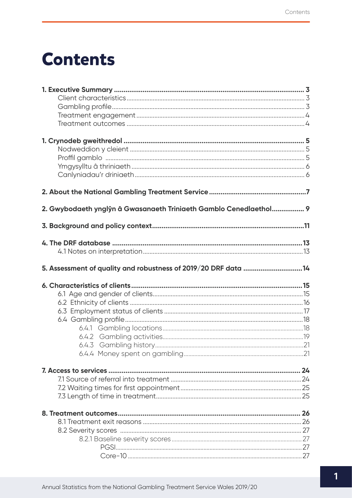## **Contents**

| 2. Gwybodaeth ynglŷn â Gwasanaeth Triniaeth Gamblo Cenedlaethol 9 |  |
|-------------------------------------------------------------------|--|
|                                                                   |  |
|                                                                   |  |
|                                                                   |  |
|                                                                   |  |
| 5. Assessment of quality and robustness of 2019/20 DRF data 14    |  |
|                                                                   |  |
|                                                                   |  |
|                                                                   |  |
|                                                                   |  |
|                                                                   |  |
|                                                                   |  |
|                                                                   |  |
|                                                                   |  |
|                                                                   |  |
|                                                                   |  |
|                                                                   |  |
|                                                                   |  |
|                                                                   |  |
|                                                                   |  |
|                                                                   |  |
|                                                                   |  |
|                                                                   |  |
|                                                                   |  |
|                                                                   |  |
|                                                                   |  |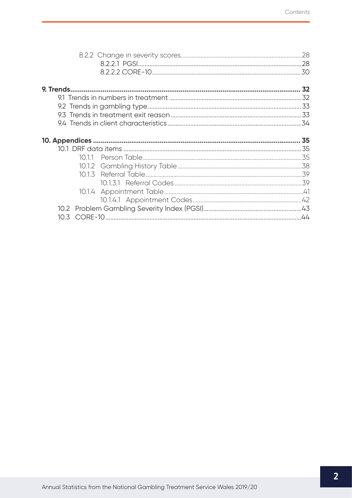| 10 3 |  |
|------|--|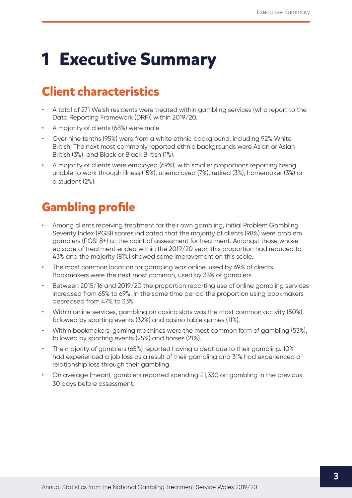# <span id="page-3-0"></span>**1 Executive Summary**

## **Client characteristics**

- A total of 271 Welsh residents were treated within gambling services (who report to the Data Reporting Framework (DRF)) within 2019/20.
- A majority of clients (68%) were male.
- Over nine tenths (95%) were from a white ethnic background, including 92% White British. The next most commonly reported ethnic backgrounds were Asian or Asian British (3%), and Black or Black British (1%).
- A majority of clients were employed (69%), with smaller proportions reporting being unable to work through illness (15%), unemployed (7%), retired (3%), homemaker (3%) or a student (2%).

## **Gambling profile**

- Among clients receiving treatment for their own gambling, initial Problem Gambling Severity Index (PGSI) scores indicated that the majority of clients (98%) were problem gamblers (PGSI 8+) at the point of assessment for treatment. Amongst those whose episode of treatment ended within the 2019/20 year, this proportion had reduced to 43% and the majority (81%) showed some improvement on this scale.
- The most common location for gambling was online, used by 69% of clients. Bookmakers were the next most common, used by 33% of gamblers.
- Between 2015/16 and 2019/20 the proportion reporting use of online gambling services increased from 65% to 69%. In the same time period the proportion using bookmakers decreased from 47% to 33%.
- Within online services, gambling on casino slots was the most common activity (50%), followed by sporting events (32%) and casino table games (11%).
- Within bookmakers, gaming machines were the most common form of gambling (53%), followed by sporting events (25%) and horses (21%).
- The majority of gamblers (65%) reported having a debt due to their gambling. 10% had experienced a job loss as a result of their gambling and 31% had experienced a relationship loss through their gambling.
- On average (mean), gamblers reported spending £1,330 on gambling in the previous 30 days before assessment.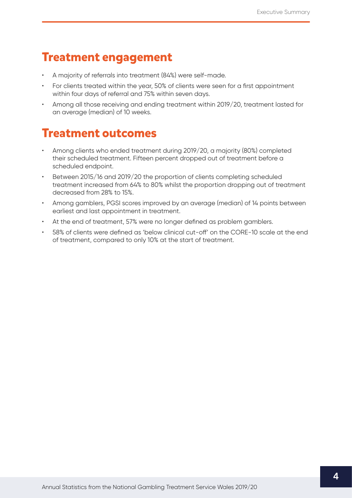### <span id="page-4-0"></span>**Treatment engagement**

- A majority of referrals into treatment (84%) were self-made.
- For clients treated within the year, 50% of clients were seen for a first appointment within four days of referral and 75% within seven days.
- Among all those receiving and ending treatment within 2019/20, treatment lasted for an average (median) of 10 weeks.

### **Treatment outcomes**

- Among clients who ended treatment during 2019/20, a majority (80%) completed their scheduled treatment. Fifteen percent dropped out of treatment before a scheduled endpoint.
- Between 2015/16 and 2019/20 the proportion of clients completing scheduled treatment increased from 64% to 80% whilst the proportion dropping out of treatment decreased from 28% to 15%.
- Among gamblers, PGSI scores improved by an average (median) of 14 points between earliest and last appointment in treatment.
- At the end of treatment, 57% were no longer defined as problem gamblers.
- 58% of clients were defined as 'below clinical cut-off' on the CORE-10 scale at the end of treatment, compared to only 10% at the start of treatment.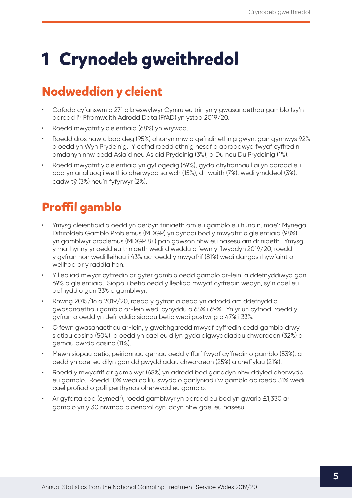# <span id="page-5-0"></span>**1 Crynodeb gweithredol**

### **Nodweddion y cleient**

- Cafodd cyfanswm o 271 o breswylwyr Cymru eu trin yn y gwasanaethau gamblo (sy'n adrodd i'r Fframwaith Adrodd Data (FfAD) yn ystod 2019/20.
- Roedd mwyafrif y cleientiaid (68%) yn wrywod.
- Roedd dros naw o bob deg (95%) ohonyn nhw o gefndir ethnig gwyn, gan gynnwys 92% a oedd yn Wyn Prydeinig. Y cefndiroedd ethnig nesaf a adroddwyd fwyaf cyffredin amdanyn nhw oedd Asiaid neu Asiaid Prydeinig (3%), a Du neu Du Prydeinig (1%).
- Roedd mwyafrif y cleientiaid yn gyflogedig (69%), gyda chyfrannau llai yn adrodd eu bod yn analluog i weithio oherwydd salwch (15%), di-waith (7%), wedi ymddeol (3%), cadw tŷ (3%) neu'n fyfyrwyr (2%).

## **Proffil gamblo**

- Ymysg cleientiaid a oedd yn derbyn triniaeth am eu gamblo eu hunain, mae'r Mynegai Difrifoldeb Gamblo Problemus (MDGP) yn dynodi bod y mwyafrif o gleientiaid (98%) yn gamblwyr problemus (MDGP 8+) pan gawson nhw eu hasesu am driniaeth. Ymysg y rhai hynny yr oedd eu triniaeth wedi diweddu o fewn y flwyddyn 2019/20, roedd y gyfran hon wedi lleihau i 43% ac roedd y mwyafrif (81%) wedi dangos rhywfaint o wellhad ar y raddfa hon.
- Y lleoliad mwyaf cyffredin ar gyfer gamblo oedd gamblo ar-lein, a ddefnyddiwyd gan 69% o gleientiaid. Siopau betio oedd y lleoliad mwyaf cyffredin wedyn, sy'n cael eu defnyddio gan 33% o gamblwyr.
- Rhwng 2015/16 a 2019/20, roedd y gyfran a oedd yn adrodd am ddefnyddio gwasanaethau gamblo ar-lein wedi cynyddu o 65% i 69%. Yn yr un cyfnod, roedd y gyfran a oedd yn defnyddio siopau betio wedi gostwng o 47% i 33%.
- O fewn gwasanaethau ar-lein, y gweithgaredd mwyaf cyffredin oedd gamblo drwy slotiau casino (50%), a oedd yn cael eu dilyn gyda digwyddiadau chwaraeon (32%) a gemau bwrdd casino (11%).
- Mewn siopau betio, peiriannau gemau oedd y ffurf fwyaf cyffredin o gamblo (53%), a oedd yn cael eu dilyn gan ddigwyddiadau chwaraeon (25%) a cheffylau (21%).
- Roedd y mwyafrif o'r gamblwyr (65%) yn adrodd bod ganddyn nhw ddyled oherwydd eu gamblo. Roedd 10% wedi colli'u swydd o ganlyniad i'w gamblo ac roedd 31% wedi cael profiad o golli perthynas oherwydd eu gamblo.
- Ar gyfartaledd (cymedr), roedd gamblwyr yn adrodd eu bod yn gwario £1,330 ar gamblo yn y 30 niwrnod blaenorol cyn iddyn nhw gael eu hasesu.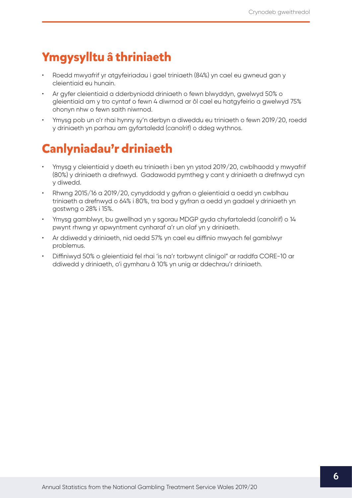### <span id="page-6-0"></span>**Ymgysylltu â thriniaeth**

- Roedd mwyafrif yr atgyfeiriadau i gael triniaeth (84%) yn cael eu gwneud gan y cleientiaid eu hunain.
- Ar gyfer cleientiaid a dderbyniodd driniaeth o fewn blwyddyn, gwelwyd 50% o gleientiaid am y tro cyntaf o fewn 4 diwrnod ar ôl cael eu hatgyfeirio a gwelwyd 75% ohonyn nhw o fewn saith niwrnod.
- Ymysg pob un o'r rhai hynny sy'n derbyn a diweddu eu triniaeth o fewn 2019/20, roedd y driniaeth yn parhau am gyfartaledd (canolrif) o ddeg wythnos.

## **Canlyniadau'r driniaeth**

- Ymysg y cleientiaid y daeth eu triniaeth i ben yn ystod 2019/20, cwblhaodd y mwyafrif (80%) y driniaeth a drefnwyd. Gadawodd pymtheg y cant y driniaeth a drefnwyd cyn y diwedd.
- Rhwng 2015/16 a 2019/20, cynyddodd y gyfran o gleientiaid a oedd yn cwblhau triniaeth a drefnwyd o 64% i 80%, tra bod y gyfran a oedd yn gadael y driniaeth yn gostwng o 28% i 15%.
- Ymysg gamblwyr, bu gwellhad yn y sgorau MDGP gyda chyfartaledd (canolrif) o 14 pwynt rhwng yr apwyntment cynharaf a'r un olaf yn y driniaeth.
- Ar ddiwedd y driniaeth, nid oedd 57% yn cael eu diffinio mwyach fel gamblwyr problemus.
- Diffiniwyd 50% o gleientiaid fel rhai 'is na'r torbwynt clinigol" ar raddfa CORE-10 ar ddiwedd y driniaeth, o'i gymharu â 10% yn unig ar ddechrau'r driniaeth.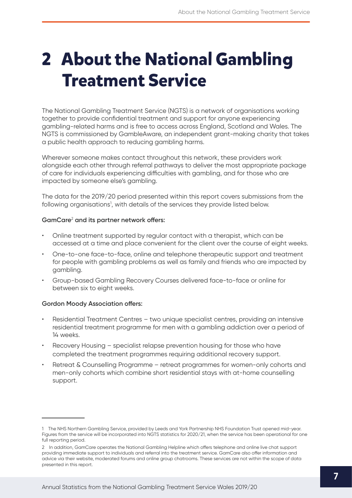# <span id="page-7-0"></span>**2 About the National Gambling Treatment Service**

The National Gambling Treatment Service (NGTS) is a network of organisations working together to provide confidential treatment and support for anyone experiencing gambling-related harms and is free to access across England, Scotland and Wales. The NGTS is commissioned by GambleAware, an independent grant-making charity that takes a public health approach to reducing gambling harms.

Wherever someone makes contact throughout this network, these providers work alongside each other through referral pathways to deliver the most appropriate package of care for individuals experiencing difficulties with gambling, and for those who are impacted by someone else's gambling.

The data for the 2019/20 period presented within this report covers submissions from the following organisations<sup>1</sup>, with details of the services they provide listed below.

#### **GamCare**<sup>2</sup>  **and its partner network offers:**

- Online treatment supported by regular contact with a therapist, which can be accessed at a time and place convenient for the client over the course of eight weeks.
- One-to-one face-to-face, online and telephone therapeutic support and treatment for people with gambling problems as well as family and friends who are impacted by gambling.
- Group-based Gambling Recovery Courses delivered face-to-face or online for between six to eight weeks.

#### **Gordon Moody Association offers:**

- Residential Treatment Centres two unique specialist centres, providing an intensive residential treatment programme for men with a gambling addiction over a period of 14 weeks.
- Recovery Housing specialist relapse prevention housing for those who have completed the treatment programmes requiring additional recovery support.
- Retreat & Counselling Programme retreat programmes for women-only cohorts and men-only cohorts which combine short residential stays with at-home counselling support.

<sup>1</sup> The NHS Northern Gambling Service, provided by Leeds and York Partnership NHS Foundation Trust opened mid-year. Figures from the service will be incorporated into NGTS statistics for 2020/21, when the service has been operational for one full reporting period.

<sup>2</sup> In addition, GamCare operates the National Gambling Helpline which offers telephone and online live chat support providing immediate support to individuals and referral into the treatment service. GamCare also offer information and advice via their website, moderated forums and online group chatrooms. These services are not within the scope of data presented in this report.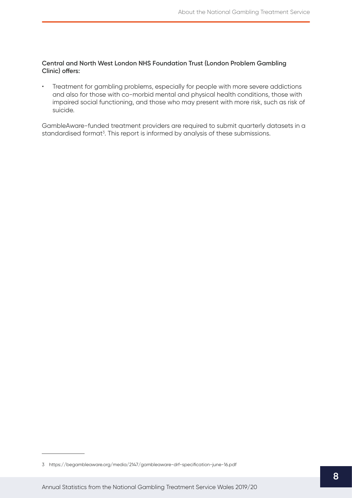#### **Central and North West London NHS Foundation Trust (London Problem Gambling Clinic) offers:**

• Treatment for gambling problems, especially for people with more severe addictions and also for those with co-morbid mental and physical health conditions, those with impaired social functioning, and those who may present with more risk, such as risk of suicide.

GambleAware-funded treatment providers are required to submit quarterly datasets in a standardised format<sup>3</sup>. This report is informed by analysis of these submissions.

<sup>3</sup> <https://begambleaware.org/media/2147/gambleaware-drf-specification-june-16.pdf>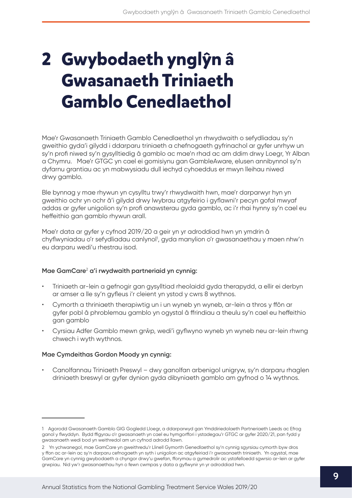# <span id="page-9-0"></span>**2 Gwybodaeth ynglŷn â Gwasanaeth Triniaeth Gamblo Cenedlaethol**

Mae'r Gwasanaeth Triniaeth Gamblo Cenedlaethol yn rhwydwaith o sefydliadau sy'n gweithio gyda'i gilydd i ddarparu triniaeth a chefnogaeth gyfrinachol ar gyfer unrhyw un sy'n profi niwed sy'n gysylltiedig â gamblo ac mae'n rhad ac am ddim drwy Loegr, Yr Alban a Chymru. Mae'r GTGC yn cael ei gomisiynu gan GambleAware, elusen annibynnol sy'n dyfarnu grantiau ac yn mabwysiadu dull iechyd cyhoeddus er mwyn lleihau niwed drwy gamblo.

Ble bynnag y mae rhywun yn cysylltu trwy'r rhwydwaith hwn, mae'r darparwyr hyn yn gweithio ochr yn ochr â'i gilydd drwy lwybrau atgyfeirio i gyflawni'r pecyn gofal mwyaf addas ar gyfer unigolion sy'n profi anawsterau gyda gamblo, ac i'r rhai hynny sy'n cael eu heffeithio gan gamblo rhywun arall.

Mae'r data ar gyfer y cyfnod 2019/20 a geir yn yr adroddiad hwn yn ymdrin â chyflwyniadau o'r sefydliadau canlynol<sup>1</sup>, gyda manylion o'r gwasanaethau y maen nhw'n eu darparu wedi'u rhestrau isod.

#### **Mae GamCare**<sup>2</sup>  **a'i rwydwaith partneriaid yn cynnig:**

- Triniaeth ar-lein a gefnogir gan gysylltiad rheolaidd gyda therapydd, a ellir ei derbyn ar amser a lle sy'n gyfleus i'r cleient yn ystod y cwrs 8 wythnos.
- Cymorth a thriniaeth therapiwtig un i un wyneb yn wyneb, ar-lein a thros y ffôn ar gyfer pobl â phroblemau gamblo yn ogystal â ffrindiau a theulu sy'n cael eu heffeithio gan gamblo
- Cyrsiau Adfer Gamblo mewn grŵp, wedi'i gyflwyno wyneb yn wyneb neu ar-lein rhwng chwech i wyth wythnos.

#### **Mae Cymdeithas Gordon Moody yn cynnig:**

• Canolfannau Triniaeth Preswyl – dwy ganolfan arbenigol unigryw, sy'n darparu rhaglen driniaeth breswyl ar gyfer dynion gyda dibyniaeth gamblo am gyfnod o 14 wythnos.

<sup>1</sup> Agorodd Gwasanaeth Gamblo GIG Gogledd Lloegr, a ddarparwyd gan Ymddiriedolaeth Partneriaeth Leeds ac Efrog ganol y flwyddyn. Bydd ffigyrau o'r gwasanaeth yn cael eu hymgorffori i ystadegau'r GTGC ar gyfer 2020/21, pan fydd y gwasanaeth wedi bod yn weithredol am un cyfnod adrodd llawn.

<sup>2</sup> Yn ychwanegol, mae GamCare yn gweithredu'r Llinell Gymorth Genedlaethol sy'n cynnig sgyrsiau cymorth byw dros y ffon ac ar-lein ac sy'n darparu cefnogaeth yn syth i unigolion ac atgyfeiriad i'r gwasanaeth triniaeth. Yn ogystal, mae GamCare yn cynnig gwybodaeth a chyngor drwy'u gwefan, fforymau a gymedrolir ac ystafelloedd sgwrsio ar-lein ar gyfer grwpiau. Nid yw'r gwasanaethau hyn o fewn cwmpas y data a gyflwynir yn yr adroddiad hwn.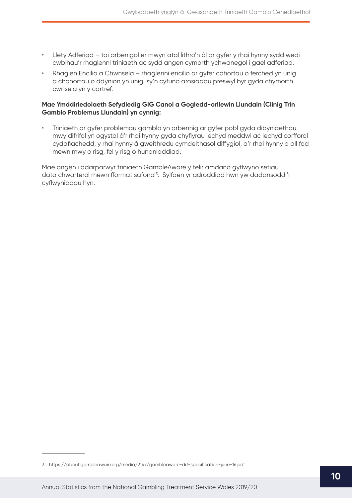- Llety Adferiad tai arbenigol er mwyn atal lithro'n ôl ar gyfer y rhai hynny sydd wedi cwblhau'r rhaglenni triniaeth ac sydd angen cymorth ychwanegol i gael adferiad.
- Rhaglen Encilio a Chwnsela rhaglenni encilio ar gyfer cohortau o ferched yn unig a chohortau o ddynion yn unig, sy'n cyfuno arosiadau preswyl byr gyda chymorth cwnsela yn y cartref.

#### **Mae Ymddiriedolaeth Sefydledig GIG Canol a Gogledd-orllewin Llundain (Clinig Trin Gamblo Problemus Llundain) yn cynnig:**

• Triniaeth ar gyfer problemau gamblo yn arbennig ar gyfer pobl gyda dibyniaethau mwy difrifol yn ogystal â'r rhai hynny gyda chyflyrau iechyd meddwl ac iechyd corfforol cydafiachedd, y rhai hynny â gweithredu cymdeithasol diffygiol, a'r rhai hynny a all fod mewn mwy o risg, fel y risg o hunanladdiad.

Mae angen i ddarparwyr triniaeth GambleAware y telir amdano gyflwyno setiau data chwarterol mewn fformat safonol<sup>3</sup>. Sylfaen yr adroddiad hwn yw dadansoddi'r cyflwyniadau hyn.

<sup>3</sup> https://about.gambleaware.org/media/2147/gambleaware-drf-specification-june-16.pdf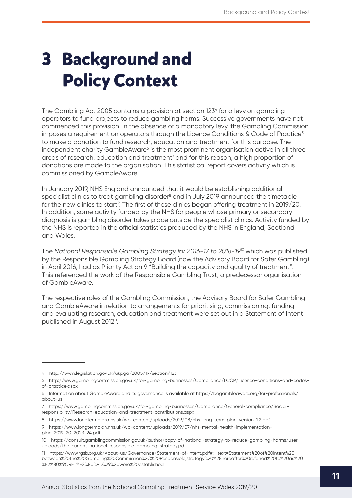# <span id="page-11-0"></span>**3 Background and Policy Context**

The Gambling Act 2005 contains a provision at section 1234 for a levy on gambling operators to fund projects to reduce gambling harms. Successive governments have not commenced this provision. In the absence of a mandatory levy, the Gambling Commission imposes a requirement on operators through the Licence Conditions  $\&$  Code of Practice<sup>5</sup> to make a donation to fund research, education and treatment for this purpose. The independent charity GambleAware<sup>6</sup> is the most prominent organisation active in all three areas of research, education and treatment<sup>7</sup> and for this reason, a high proportion of donations are made to the organisation. This statistical report covers activity which is commissioned by GambleAware.

In January 2019, NHS England announced that it would be establishing additional specialist clinics to treat gambling disorder<sup>8</sup> and in July 2019 announced the timetable for the new clinics to start<sup>o</sup>. The first of these clinics began offering treatment in 2019/20. In addition, some activity funded by the NHS for people whose primary or secondary diagnosis is gambling disorder takes place outside the specialist clinics. Activity funded by the NHS is reported in the official statistics produced by the NHS in England, Scotland and Wales.

The *National Responsible Gambling Strategy for 2016-17 to 2018-19*10 which was published by the Responsible Gambling Strategy Board (now the Advisory Board for Safer Gambling) in April 2016, had as Priority Action 9 "Building the capacity and quality of treatment". This referenced the work of the Responsible Gambling Trust, a predecessor organisation of GambleAware.

The respective roles of the Gambling Commission, the Advisory Board for Safer Gambling and GambleAware in relation to arrangements for prioritising, commissioning, funding and evaluating research, education and treatment were set out in a Statement of Intent published in August 2012<sup>11</sup>.

<sup>4</sup> <http://www.legislation.gov.uk/ukpga/2005/19/section/123>

<sup>5</sup> [http://www.gamblingcommission.gov.uk/for-gambling-businesses/Compliance/LCCP/Licence-conditions-and-codes](http://www.gamblingcommission.gov.uk/for-gambling-businesses/Compliance/LCCP/Licence-conditions-and-codes-of-practice.aspx)[of-practice.aspx](http://www.gamblingcommission.gov.uk/for-gambling-businesses/Compliance/LCCP/Licence-conditions-and-codes-of-practice.aspx)

<sup>6</sup> Information about GambleAware and its governance is available at [https://begambleaware.org/f](https://begambleaware.org/for-professionals/about-us)or-professionals/ about-us

<sup>7</sup> [https://www.gamblingcommission.gov.uk/for-gambling-businesses/Compliance/General-compliance/Social](https://www.gamblingcommission.gov.uk/for-gambling-businesses/Compliance/General-compliance/Social-responsibility/Research-education-and-treatment-contributions.aspx)[responsibility/Research-education-and-treatment-contributions.aspx](https://www.gamblingcommission.gov.uk/for-gambling-businesses/Compliance/General-compliance/Social-responsibility/Research-education-and-treatment-contributions.aspx)

<sup>8</sup> <https://www.longtermplan.nhs.uk/wp-content/uploads/2019/08/nhs-long-term-plan-version-1.2.pdf>

<sup>9</sup> [https://www.longtermplan.nhs.uk/wp-content/uploads/2019/07/nhs-mental-health-implementation](https://www.longtermplan.nhs.uk/wp-content/uploads/2019/07/nhs-mental-health-implementation-plan-2019-20-2023-24.pdf)[plan-2019-20-2023-24.pdf](https://www.longtermplan.nhs.uk/wp-content/uploads/2019/07/nhs-mental-health-implementation-plan-2019-20-2023-24.pdf)

<sup>10</sup> [https://consult.gamblingcommission.gov.uk/author/copy-of-national-strategy-to-reduce-gambling-harms/user\\_](https://consult.gamblingcommission.gov.uk/author/copy-of-national-strategy-to-reduce-gambling-harms/user_uploads/the-current-national-responsible-gambling-strategy.pdf) [uploads/the-current-national-responsible-gambling-strategy.pdf](https://consult.gamblingcommission.gov.uk/author/copy-of-national-strategy-to-reduce-gambling-harms/user_uploads/the-current-national-responsible-gambling-strategy.pdf)

<sup>11</sup> [https://www.rgsb.org.uk/About-us/Governance/Statement-of-intent.pdf#:~:text=Statement%20of%20intent%20](https://www.rgsb.org.uk/About-us/Governance/Statement-of-intent.pdf#:~:text=Statement%20of%20intent%20between%20the%20Gambling%20Commission%2C%20Responsible,strategy%20%28hereafter%20referred%20to%20as%20%E2%80%9CRET%E2%80%9D%29%20were%20established) [between%20the%20Gambling%20Commission%2C%20Responsible,strategy%20%28hereafter%20referred%20to%20as%20](https://www.rgsb.org.uk/About-us/Governance/Statement-of-intent.pdf#:~:text=Statement%20of%20intent%20between%20the%20Gambling%20Commission%2C%20Responsible,strategy%20%28hereafter%20referred%20to%20as%20%E2%80%9CRET%E2%80%9D%29%20were%20established) [%E2%80%9CRET%E2%80%9D%29%20were%20established](https://www.rgsb.org.uk/About-us/Governance/Statement-of-intent.pdf#:~:text=Statement%20of%20intent%20between%20the%20Gambling%20Commission%2C%20Responsible,strategy%20%28hereafter%20referred%20to%20as%20%E2%80%9CRET%E2%80%9D%29%20were%20established)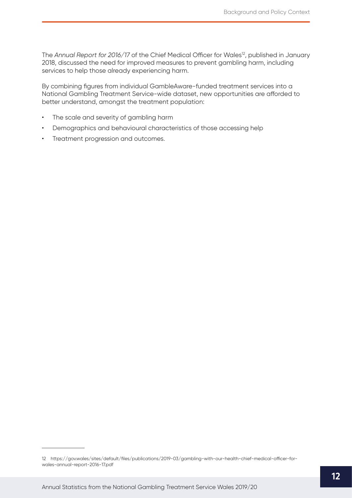The Annual Report for 2016/17 of the Chief Medical Officer for Wales<sup>12</sup>, published in January 2018, discussed the need for improved measures to prevent gambling harm, including services to help those already experiencing harm.

By combining figures from individual GambleAware-funded treatment services into a National Gambling Treatment Service-wide dataset, new opportunities are afforded to better understand, amongst the treatment population:

- The scale and severity of gambling harm
- Demographics and behavioural characteristics of those accessing help
- Treatment progression and outcomes.

<sup>12</sup> [https://gov.wales/sites/default/files/publications/2019-03/gambling-with-our-health-chief-medical-officer-for](https://gov.wales/sites/default/files/publications/2019-03/gambling-with-our-health-chief-medical-officer-for-wales-annual-report-2016-17.pdf)[wales-annual-report-2016-17.pdf](https://gov.wales/sites/default/files/publications/2019-03/gambling-with-our-health-chief-medical-officer-for-wales-annual-report-2016-17.pdf)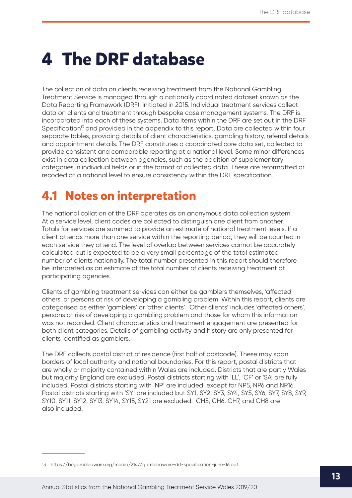## <span id="page-13-0"></span>**4 The DRF database**

The collection of data on clients receiving treatment from the National Gambling Treatment Service is managed through a nationally coordinated dataset known as the Data Reporting Framework (DRF), initiated in 2015. Individual treatment services collect data on clients and treatment through bespoke case management systems. The DRF is incorporated into each of these systems. Data items within the DRF are set out in the DRF Specification<sup>13</sup> and provided in the appendix to this report. Data are collected within four separate tables, providing details of client characteristics, gambling history, referral details and appointment details. The DRF constitutes a coordinated core data set, collected to provide consistent and comparable reporting at a national level. Some minor differences exist in data collection between agencies, such as the addition of supplementary categories in individual fields or in the format of collected data. These are reformatted or recoded at a national level to ensure consistency within the DRF specification.

### **4.1 Notes on interpretation**

The national collation of the DRF operates as an anonymous data collection system. At a service level, client codes are collected to distinguish one client from another. Totals for services are summed to provide an estimate of national treatment levels. If a client attends more than one service within the reporting period, they will be counted in each service they attend. The level of overlap between services cannot be accurately calculated but is expected to be a very small percentage of the total estimated number of clients nationally. The total number presented in this report should therefore be interpreted as an estimate of the total number of clients receiving treatment at participating agencies.

Clients of gambling treatment services can either be gamblers themselves, 'affected others' or persons at risk of developing a gambling problem. Within this report, clients are categorised as either 'gamblers' or 'other clients'. 'Other clients' includes 'affected others', persons at risk of developing a gambling problem and those for whom this information was not recorded. Client characteristics and treatment engagement are presented for both client categories. Details of gambling activity and history are only presented for clients identified as gamblers.

The DRF collects postal district of residence (first half of postcode). These may span borders of local authority and national boundaries. For this report, postal districts that are wholly or majority contained within Wales are included. Districts that are partly Wales but majority England are excluded. Postal districts starting with 'LL', 'CF' or 'SA' are fully included. Postal districts starting with 'NP' are included, except for NP5, NP6 and NP16. Postal districts starting with 'SY' are included but SY1, SY2, SY3, SY4, SY5, SY6, SY7, SY8, SY9, SY10, SY11, SY12, SY13, SY14, SY15, SY21 are excluded. CH5, CH6, CH7, and CH8 are also included.

<sup>13</sup> [https://begambleaware.org/media/2147/gambleaware-drf-specification-june-16.pdf](https://begambleaware.org/for-professionals/about-us)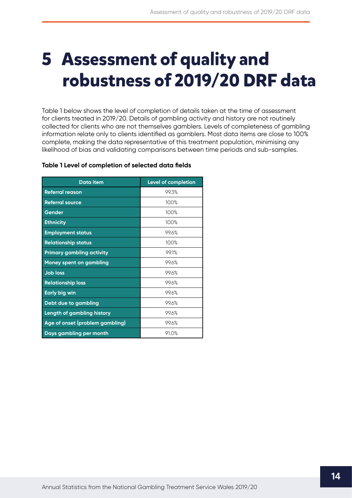# <span id="page-14-0"></span>**5 Assessment of quality and robustness of 2019/20 DRF data**

Table 1 below shows the level of completion of details taken at the time of assessment for clients treated in 2019/20. Details of gambling activity and history are not routinely collected for clients who are not themselves gamblers. Levels of completeness of gambling information relate only to clients identified as gamblers. Most data items are close to 100% complete, making the data representative of this treatment population, minimising any likelihood of bias and validating comparisons between time periods and sub-samples.

| <b>Data item</b>                  | Level of completion |
|-----------------------------------|---------------------|
| <b>Referral reason</b>            | 99.3%               |
| <b>Referral source</b>            | 100%                |
| Gender                            | 100%                |
| <b>Ethnicity</b>                  | 100%                |
| <b>Employment status</b>          | 99.6%               |
| <b>Relationship status</b>        | 100%                |
| <b>Primary gambling activity</b>  | 99.1%               |
| <b>Money spent on gambling</b>    | 99.6%               |
| <b>Job loss</b>                   | 99.6%               |
| <b>Relationship loss</b>          | 99.6%               |
| <b>Early big win</b>              | 99.6%               |
| Debt due to gambling              | 99.6%               |
| <b>Length of gambling history</b> | 99.6%               |
| Age of onset (problem gambling)   | 99.6%               |
| Days gambling per month           | 91.0%               |

#### **Table 1 Level of completion of selected data fields**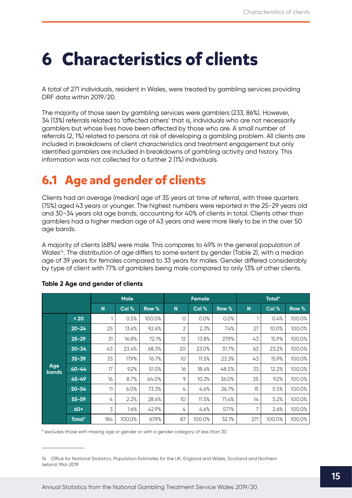## <span id="page-15-0"></span>**6 Characteristics of clients**

A total of 271 individuals, resident in Wales, were treated by gambling services providing DRF data within 2019/20.

The majority of those seen by gambling services were gamblers (233, 86%). However, 34 (13%) referrals related to 'affected others' that is, individuals who are not necessarily gamblers but whose lives have been affected by those who are. A small number of referrals (2, 1%) related to persons at risk of developing a gambling problem. All clients are included in breakdowns of client characteristics and treatment engagement but only identified gamblers are included in breakdowns of gambling activity and history. This information was not collected for a further 2 (1%) individuals.

### **6.1 Age and gender of clients**

Clients had an average (median) age of 35 years at time of referral, with three quarters (75%) aged 43 years or younger. The highest numbers were reported in the 25-29 years old and 30-34 years old age bands, accounting for 40% of clients in total. Clients other than gamblers had a higher median age of 43 years and were more likely to be in the over 50 age bands.

A majority of clients (68%) were male. This compares to 49% in the general population of Wales<sup>14</sup>. The distribution of age differs to some extent by gender (Table 2), with a median age of 39 years for females compared to 33 years for males. Gender differed considerably by type of client with 77% of gamblers being male compared to only 13% of other clients.

|                     |           |     | <b>Male</b> |        |    | <b>Female</b> |       |             | <b>Total*</b> |        |
|---------------------|-----------|-----|-------------|--------|----|---------------|-------|-------------|---------------|--------|
|                     |           | N   | Col %       | Row %  | N  | Col %         | Row % | $\mathbf N$ | Col %         | Row %  |
|                     | $20$      |     | 0.5%        | 100.0% | 0  | 0.0%          | 0.0%  | 1           | 0.4%          | 100.0% |
|                     | $20 - 24$ | 25  | 13.6%       | 92.6%  | 2  | 2.3%          | 7.4%  | 27          | 10.0%         | 100.0% |
|                     | $25 - 29$ | 31  | 16.8%       | 72.1%  | 12 | 13.8%         | 27.9% | 43          | 15.9%         | 100.0% |
|                     | $30 - 34$ | 43  | 23.4%       | 68.3%  | 20 | 23.0%         | 31.7% | 63          | 23.2%         | 100.0% |
|                     | $35 - 39$ | 33  | 17.9%       | 76.7%  | 10 | 11.5%         | 23.3% | 43          | 15.9%         | 100.0% |
| Age<br><b>bands</b> | $40 - 44$ | 17  | 9.2%        | 51.5%  | 16 | 18.4%         | 48.5% | 33          | 12.2%         | 100.0% |
|                     | $45 - 49$ | 16  | 8.7%        | 64.0%  | 9  | 10.3%         | 36.0% | 25          | 9.2%          | 100.0% |
|                     | $50 - 54$ | 11  | 6.0%        | 73.3%  | 4  | 4.6%          | 26.7% | 15          | 5.5%          | 100.0% |
|                     | $55 - 59$ | 4   | 2.2%        | 28.6%  | 10 | 11.5%         | 71.4% | 14          | 5.2%          | 100.0% |
|                     | $60+$     | 3   | 1.6%        | 42.9%  | 4  | 4.6%          | 57.1% | 7           | 2.6%          | 100.0% |
|                     | Total*    | 184 | 100.0%      | 67.9%  | 87 | 100.0%        | 32.1% | 271         | 100.0%        | 100.0% |

#### **Table 2 Age and gender of clients**

\* excludes those with missing age or gender or with a gender category of less than 30

<sup>14</sup> Office for National Statistics. Population Estimates for the UK, England and Wales, Scotland and Northern Ireland: Mid-2019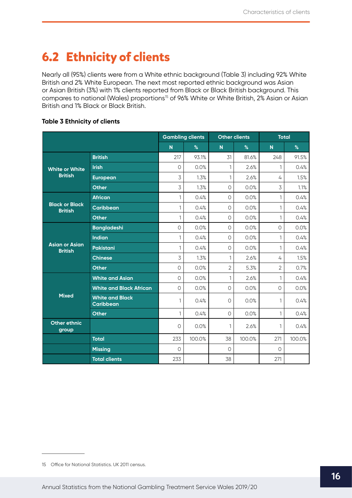### <span id="page-16-0"></span>**6.2 Ethnicity of clients**

Nearly all (95%) clients were from a White ethnic background (Table 3) including 92% White British and 2% White European. The next most reported ethnic background was Asian or Asian British (3%) with 1% clients reported from Black or Black British background. This compares to national (Wales) proportions<sup>15</sup> of 96% White or White British, 2% Asian or Asian British and 1% Black or Black British.

#### **Table 3 Ethnicity of clients**

|                                         |                                            | <b>Gambling clients</b> |        | <b>Other clients</b> |        | <b>Total</b>            |        |
|-----------------------------------------|--------------------------------------------|-------------------------|--------|----------------------|--------|-------------------------|--------|
|                                         |                                            | N                       | $\%$   | N                    | $\%$   | $\overline{\mathsf{N}}$ | $\%$   |
|                                         | <b>British</b>                             | 217                     | 93.1%  | 31                   | 81.6%  | 248                     | 91.5%  |
| <b>White or White</b>                   | <b>Irish</b>                               | $\Omega$                | 0.0%   | 1                    | 2.6%   | 1                       | 0.4%   |
| <b>British</b>                          | <b>European</b>                            | 3                       | 1.3%   | 1                    | 2.6%   | 4                       | 1.5%   |
|                                         | <b>Other</b>                               | 3                       | 1.3%   | $\circ$              | 0.0%   | 3                       | 1.1%   |
|                                         | <b>African</b>                             | 1                       | 0.4%   | $\circlearrowright$  | 0.0%   | 1                       | 0.4%   |
| <b>Black or Black</b><br><b>British</b> | <b>Caribbean</b>                           | $\mathbf{1}$            | 0.4%   | $\circ$              | 0.0%   | 1                       | 0.4%   |
|                                         | <b>Other</b>                               | $\mathbf{1}$            | 0.4%   | $\circ$              | 0.0%   | 1                       | 0.4%   |
|                                         | <b>Bangladeshi</b>                         | $\circ$                 | 0.0%   | $\circ$              | 0.0%   | $\circ$                 | 0.0%   |
|                                         | <b>Indian</b>                              | 1                       | 0.4%   | $\circ$              | 0.0%   | $\mathbf{1}$            | 0.4%   |
| <b>Asian or Asian</b><br><b>British</b> | Pakistani                                  | 1                       | 0.4%   | $\circ$              | 0.0%   | 1                       | 0.4%   |
|                                         | <b>Chinese</b>                             | 3                       | 1.3%   | $\mathbf{1}$         | 2.6%   | 4                       | 1.5%   |
|                                         | <b>Other</b>                               | $\circ$                 | 0.0%   | $\overline{2}$       | 5.3%   | $\overline{2}$          | 0.7%   |
|                                         | <b>White and Asian</b>                     | $\circ$                 | 0.0%   | $\mathbf{1}$         | 2.6%   | 1                       | 0.4%   |
|                                         | <b>White and Black African</b>             | $\circ$                 | 0.0%   | $\circ$              | 0.0%   | $\circ$                 | 0.0%   |
| <b>Mixed</b>                            | <b>White and Black</b><br><b>Caribbean</b> | 1                       | 0.4%   | $\circ$              | 0.0%   | 1                       | 0.4%   |
|                                         | <b>Other</b>                               | 1                       | 0.4%   | $\circ$              | 0.0%   | 1                       | 0.4%   |
| <b>Other ethnic</b><br>group            |                                            | 0                       | 0.0%   | 1                    | 2.6%   | 1                       | 0.4%   |
|                                         | <b>Total</b>                               | 233                     | 100.0% | 38                   | 100.0% | 271                     | 100.0% |
|                                         | <b>Missing</b>                             | $\circ$                 |        | 0                    |        | $\circ$                 |        |
|                                         | <b>Total clients</b>                       | 233                     |        | 38                   |        | 271                     |        |

<sup>15</sup> Office for National Statistics. UK 2011 census.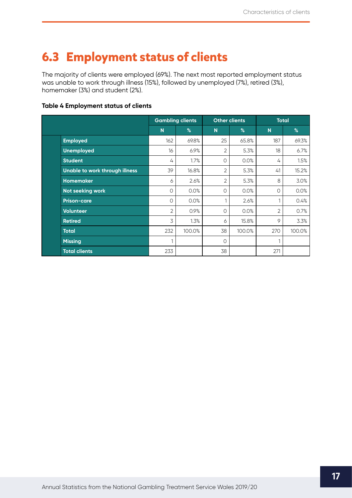### <span id="page-17-0"></span>**6.3 Employment status of clients**

The majority of clients were employed (69%). The next most reported employment status was unable to work through illness (15%), followed by unemployed (7%), retired (3%), homemaker (3%) and student (2%).

#### **Table 4 Employment status of clients**

|                                | <b>Gambling clients</b> |        | <b>Other clients</b> |        | <b>Total</b> |        |
|--------------------------------|-------------------------|--------|----------------------|--------|--------------|--------|
|                                | N                       | %      | $\overline{N}$       | %      | N            | %      |
| <b>Employed</b>                | 162                     | 69.8%  | 25                   | 65.8%  | 187          | 69.3%  |
| <b>Unemployed</b>              | 16                      | 6.9%   | 2                    | 5.3%   | 18           | 6.7%   |
| <b>Student</b>                 | 4                       | 1.7%   | 0                    | 0.0%   | 4            | 1.5%   |
| Unable to work through illness | 39                      | 16.8%  | $\overline{2}$       | 5.3%   | 41           | 15.2%  |
| Homemaker                      | 6                       | 2.6%   | $\overline{2}$       | 5.3%   | 8            | 3.0%   |
| Not seeking work               | 0                       | 0.0%   | 0                    | 0.0%   | $\circ$      | 0.0%   |
| <b>Prison-care</b>             | 0                       | 0.0%   |                      | 2.6%   |              | 0.4%   |
| <b>Volunteer</b>               | $\overline{2}$          | 0.9%   | 0                    | 0.0%   | 2            | 0.7%   |
| <b>Retired</b>                 | 3                       | 1.3%   | 6                    | 15.8%  | 9            | 3.3%   |
| <b>Total</b>                   | 232                     | 100.0% | 38                   | 100.0% | 270          | 100.0% |
| <b>Missing</b>                 | 1                       |        | $\circ$              |        | 1            |        |
| <b>Total clients</b>           | 233                     |        | 38                   |        | 271          |        |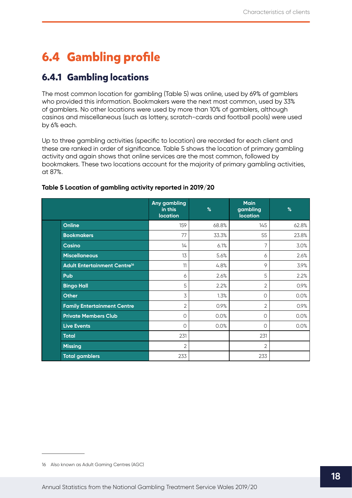## <span id="page-18-0"></span>**6.4 Gambling profile**

### **6.4.1 Gambling locations**

The most common location for gambling (Table 5) was online, used by 69% of gamblers who provided this information. Bookmakers were the next most common, used by 33% of gamblers. No other locations were used by more than 10% of gamblers, although casinos and miscellaneous (such as lottery, scratch-cards and football pools) were used by 6% each.

Up to three gambling activities (specific to location) are recorded for each client and these are ranked in order of significance. Table 5 shows the location of primary gambling activity and again shows that online services are the most common, followed by bookmakers. These two locations account for the majority of primary gambling activities, at 87%.

|                                                | Any gambling<br>in this<br><b>location</b> | %     | <b>Main</b><br>gambling<br><b>location</b> | $\%$  |
|------------------------------------------------|--------------------------------------------|-------|--------------------------------------------|-------|
| Online                                         | 159                                        | 68.8% | 145                                        | 62.8% |
| <b>Bookmakers</b>                              | 77                                         | 33.3% | 55                                         | 23.8% |
| <b>Casino</b>                                  | 14                                         | 6.1%  | 7                                          | 3.0%  |
| <b>Miscellaneous</b>                           | 13                                         | 5.6%  | 6                                          | 2.6%  |
| <b>Adult Entertainment Centre<sup>16</sup></b> | 11                                         | 4.8%  | 9                                          | 3.9%  |
| Pub                                            | 6                                          | 2.6%  | 5                                          | 2.2%  |
| <b>Bingo Hall</b>                              | 5                                          | 2.2%  | 2                                          | 0.9%  |
| <b>Other</b>                                   | 3                                          | 1.3%  | 0                                          | 0.0%  |
| <b>Family Entertainment Centre</b>             | 2                                          | 0.9%  | 2                                          | 0.9%  |
| <b>Private Members Club</b>                    | 0                                          | 0.0%  | $\circ$                                    | 0.0%  |
| <b>Live Events</b>                             | 0                                          | 0.0%  | $\circ$                                    | 0.0%  |
| <b>Total</b>                                   | 231                                        |       | 231                                        |       |
| <b>Missing</b>                                 | $\overline{2}$                             |       | 2                                          |       |
| <b>Total gamblers</b>                          | 233                                        |       | 233                                        |       |

#### **Table 5 Location of gambling activity reported in 2019/20**<sup>16</sup>

<sup>16</sup> Also known as Adult Gaming Centres (AGC)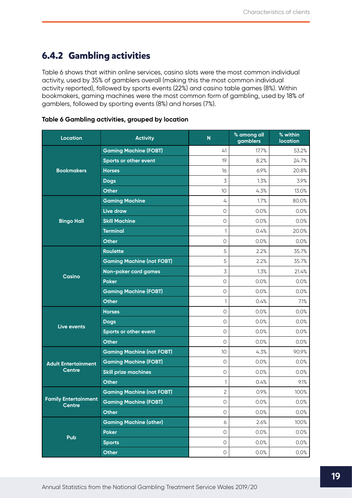### <span id="page-19-0"></span>**6.4.2 Gambling activities**

Table 6 shows that within online services, casino slots were the most common individual activity, used by 35% of gamblers overall (making this the most common individual activity reported), followed by sports events (22%) and casino table games (8%). Within bookmakers, gaming machines were the most common form of gambling, used by 18% of gamblers, followed by sporting events (8%) and horses (7%).

| <b>Location</b>                              | <b>Activity</b>                  | $\mathsf{N}$     | % among all<br>gamblers | % within<br><b>location</b> |
|----------------------------------------------|----------------------------------|------------------|-------------------------|-----------------------------|
|                                              | <b>Gaming Machine (FOBT)</b>     | 41               | 17.7%                   | 53.2%                       |
| <b>Bookmakers</b>                            | Sports or other event            | 19               | 8.2%                    | 24.7%                       |
|                                              | <b>Horses</b>                    | 16               | 6.9%                    | 20.8%                       |
|                                              | <b>Dogs</b>                      | 3                | 1.3%                    | 3.9%                        |
|                                              | <b>Other</b>                     | 10               | 4.3%                    | 13.0%                       |
|                                              | <b>Gaming Machine</b>            | 4                | 1.7%                    | 80.0%                       |
|                                              | Live draw                        | $\circ$          | 0.0%                    | 0.0%                        |
| <b>Bingo Hall</b>                            | <b>Skill Machine</b>             | $\circ$          | 0.0%                    | 0.0%                        |
|                                              | <b>Terminal</b>                  | 1                | 0.4%                    | 20.0%                       |
|                                              | <b>Other</b>                     | $\circ$          | 0.0%                    | 0.0%                        |
|                                              | <b>Roulette</b>                  | 5                | 2.2%                    | 35.7%                       |
|                                              | <b>Gaming Machine (not FOBT)</b> | 5                | 2.2%                    | 35.7%                       |
|                                              | Non-poker card games             | 3                | 1.3%                    | 21.4%                       |
| <b>Casino</b>                                | <b>Poker</b>                     | $\circ$          | 0.0%                    | 0.0%                        |
|                                              | <b>Gaming Machine (FOBT)</b>     | $\bigcirc$       | 0.0%                    | 0.0%                        |
|                                              | <b>Other</b>                     | $\mathbf{1}$     | 0.4%                    | 7.1%                        |
|                                              | <b>Horses</b>                    | $\circ$          | 0.0%                    | 0.0%                        |
| Live events                                  | <b>Dogs</b>                      | $\circ$          | 0.0%                    | 0.0%                        |
|                                              | Sports or other event            | $\circ$          | 0.0%                    | 0.0%                        |
|                                              | <b>Other</b>                     | $\circ$          | 0.0%                    | 0.0%                        |
|                                              | <b>Gaming Machine (not FOBT)</b> | 10               | 4.3%                    | 90.9%                       |
| <b>Adult Entertainment</b>                   | <b>Gaming Machine (FOBT)</b>     | $\circ$          | 0.0%                    | 0.0%                        |
| <b>Centre</b>                                | <b>Skill prize machines</b>      | $\circ$          | 0.0%                    | 0.0%                        |
|                                              | <b>Other</b>                     | 1                | 0.4%                    | 9.1%                        |
|                                              | <b>Gaming Machine (not FOBT)</b> | $\overline{2}$   | 0.9%                    | 100%                        |
| <b>Family Entertainment</b><br><b>Centre</b> | <b>Gaming Machine (FOBT)</b>     | $\bigcirc$       | 0.0%                    | 0.0%                        |
|                                              | <b>Other</b>                     | $\bigcirc$       | 0.0%                    | 0.0%                        |
|                                              | <b>Gaming Machine (other)</b>    | $\acute{\rm{o}}$ | 2.6%                    | 100%                        |
| Pub                                          | <b>Poker</b>                     | $\bigcirc$       | 0.0%                    | 0.0%                        |
|                                              | <b>Sports</b>                    | 0                | 0.0%                    | 0.0%                        |
|                                              | <b>Other</b>                     | $\bigcirc$       | 0.0%                    | 0.0%                        |

#### **Table 6 Gambling activities, grouped by location**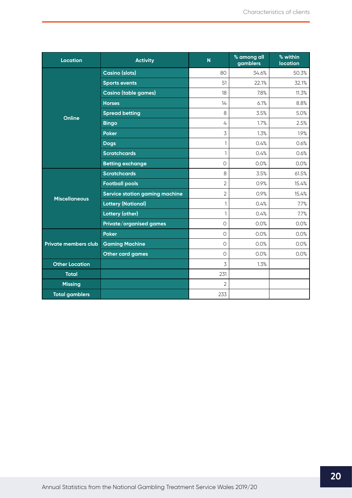| <b>Location</b>             | <b>Activity</b>                       | N              | % among all<br>gamblers | % within<br><b>location</b> |
|-----------------------------|---------------------------------------|----------------|-------------------------|-----------------------------|
|                             | <b>Casino (slots)</b>                 | 80             | 34.6%                   | 50.3%                       |
| Online                      | <b>Sports events</b>                  | 51             | 22.1%                   | 32.1%                       |
|                             | <b>Casino (table games)</b>           | 18             | 7.8%                    | 11.3%                       |
|                             | <b>Horses</b>                         | 14             | 6.1%                    | 8.8%                        |
|                             | <b>Spread betting</b>                 | 8              | 3.5%                    | 5.0%                        |
|                             | <b>Bingo</b>                          | 4              | 1.7%                    | 2.5%                        |
|                             | <b>Poker</b>                          | 3              | 1.3%                    | 1.9%                        |
|                             | <b>Dogs</b>                           | $\mathbf{1}$   | 0.4%                    | 0.6%                        |
|                             | <b>Scratchcards</b>                   | 1              | 0.4%                    | 0.6%                        |
|                             | <b>Betting exchange</b>               | $\circ$        | 0.0%                    | 0.0%                        |
|                             | <b>Scratchcards</b>                   | 8              | 3.5%                    | 61.5%                       |
|                             | <b>Football pools</b>                 | $\overline{2}$ | 0.9%                    | 15.4%                       |
| <b>Miscellaneous</b>        | <b>Service station gaming machine</b> | $\overline{2}$ | 0.9%                    | 15.4%                       |
|                             | <b>Lottery (National)</b>             | $\mathbf{1}$   | 0.4%                    | 7.7%                        |
|                             | <b>Lottery (other)</b>                | $\mathbf{1}$   | 0.4%                    | 7.7%                        |
|                             | Private/organised games               | $\Omega$       | 0.0%                    | 0.0%                        |
|                             | <b>Poker</b>                          | $\Omega$       | 0.0%                    | 0.0%                        |
| <b>Private members club</b> | <b>Gaming Machine</b>                 | $\Omega$       | 0.0%                    | 0.0%                        |
|                             | <b>Other card games</b>               | $\Omega$       | 0.0%                    | 0.0%                        |
| <b>Other Location</b>       |                                       | 3              | 1.3%                    |                             |
| <b>Total</b>                |                                       | 231            |                         |                             |
| <b>Missing</b>              |                                       | $\overline{2}$ |                         |                             |
| <b>Total gamblers</b>       |                                       | 233            |                         |                             |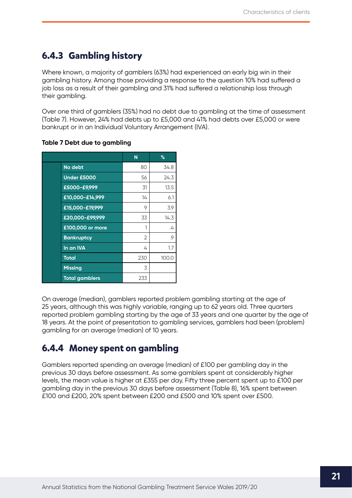### <span id="page-21-0"></span>**6.4.3 Gambling history**

Where known, a majority of gamblers (63%) had experienced an early big win in their gambling history. Among those providing a response to the question 10% had suffered a job loss as a result of their gambling and 31% had suffered a relationship loss through their gambling.

Over one third of gamblers (35%) had no debt due to gambling at the time of assessment (Table 7). However, 24% had debts up to £5,000 and 41% had debts over £5,000 or were bankrupt or in an Individual Voluntary Arrangement (IVA).

|                       | N   | %                 |
|-----------------------|-----|-------------------|
| No debt               | 80  | 34.8              |
| <b>Under £5000</b>    | 56  | 24.3              |
| £5000-£9,999          | 31  | 13.5              |
| £10,000-£14,999       | 14  | 6.1               |
| £15,000-£19,999       | 9   | 3.9               |
| £20,000-£99,999       | 33  | 14.3              |
| £100,000 or more      | 1   | $\mathcal{L}_{+}$ |
| <b>Bankruptcy</b>     | 2   | .9                |
| In an IVA             | 4   | 1.7               |
| <b>Total</b>          | 230 | 100.0             |
| <b>Missing</b>        | 3   |                   |
| <b>Total gamblers</b> | 233 |                   |

#### **Table 7 Debt due to gambling**

On average (median), gamblers reported problem gambling starting at the age of 25 years, although this was highly variable, ranging up to 62 years old. Three quarters reported problem gambling starting by the age of 33 years and one quarter by the age of 18 years. At the point of presentation to gambling services, gamblers had been (problem) gambling for an average (median) of 10 years.

### **6.4.4 Money spent on gambling**

Gamblers reported spending an average (median) of £100 per gambling day in the previous 30 days before assessment. As some gamblers spent at considerably higher levels, the mean value is higher at £355 per day. Fifty three percent spent up to £100 per gambling day in the previous 30 days before assessment (Table 8), 16% spent between £100 and £200, 20% spent between £200 and £500 and 10% spent over £500.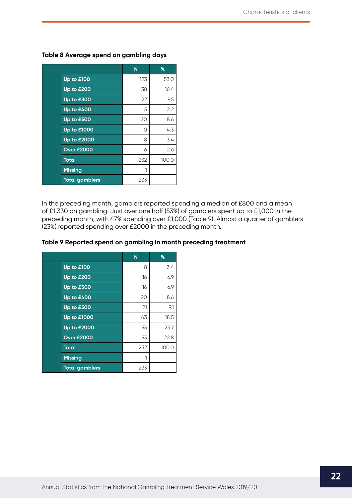|                       | N   | $\%$  |
|-----------------------|-----|-------|
| Up to £100            | 123 | 53.0  |
| Up to £200            | 38  | 16.4  |
| Up to £300            | 22  | 9.5   |
| Up to £400            | 5   | 2.2   |
| Up to £500            | 20  | 8.6   |
| <b>Up to £1000</b>    | 10  | 4.3   |
| <b>Up to £2000</b>    | 8   | 3.4   |
| <b>Over £2000</b>     | 6   | 2.6   |
| <b>Total</b>          | 232 | 100.0 |
| <b>Missing</b>        | 1   |       |
| <b>Total gamblers</b> | 233 |       |

#### **Table 8 Average spend on gambling days**

In the preceding month, gamblers reported spending a median of £800 and a mean of £1,330 on gambling. Just over one half (53%) of gamblers spent up to £1,000 in the preceding month, with 47% spending over £1,000 (Table 9). Almost a quarter of gamblers (23%) reported spending over £2000 in the preceding month.

| Table 9 Reported spend on gambling in month preceding treatment |  |  |  |
|-----------------------------------------------------------------|--|--|--|
|-----------------------------------------------------------------|--|--|--|

|                       | N   | $\%$  |
|-----------------------|-----|-------|
| Up to £100            | 8   | 3.4   |
| Up to £200            | 16  | 6.9   |
| Up to £300            | 16  | 6.9   |
| Up to £400            | 20  | 8.6   |
| Up to £500            | 21  | 9.1   |
| <b>Up to £1000</b>    | 43  | 18.5  |
| <b>Up to £2000</b>    | 55  | 23.7  |
| <b>Over £2000</b>     | 53  | 22.8  |
| <b>Total</b>          | 232 | 100.0 |
| <b>Missing</b>        | 1   |       |
| <b>Total gamblers</b> | 233 |       |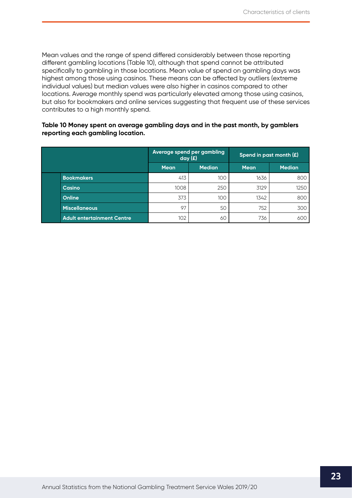Mean values and the range of spend differed considerably between those reporting different gambling locations (Table 10), although that spend cannot be attributed specifically to gambling in those locations. Mean value of spend on gambling days was highest among those using casinos. These means can be affected by outliers (extreme individual values) but median values were also higher in casinos compared to other locations. Average monthly spend was particularly elevated among those using casinos, but also for bookmakers and online services suggesting that frequent use of these services contributes to a high monthly spend.

#### **Table 10 Money spent on average gambling days and in the past month, by gamblers reporting each gambling location.**

|                                   | Average spend per gambling<br>day(f) |               | Spend in past month $(E)$ |               |  |
|-----------------------------------|--------------------------------------|---------------|---------------------------|---------------|--|
|                                   | <b>Mean</b>                          | <b>Median</b> | <b>Mean</b>               | <b>Median</b> |  |
| <b>Bookmakers</b>                 | 413                                  | 100           | 1636                      | 800           |  |
| Casino                            | 1008                                 | 250           | 3129                      | 1250          |  |
| <b>Online</b>                     | 373                                  | 100           | 1342                      | 800           |  |
| <b>Miscellaneous</b>              | 97                                   | 50            | 752                       | 300           |  |
| <b>Adult entertainment Centre</b> | 102                                  | 60            | 736                       | 60C           |  |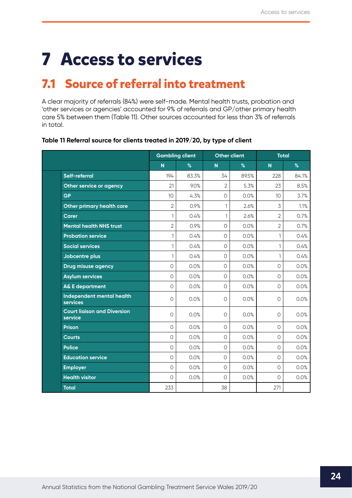# <span id="page-24-0"></span>**7 Access to services**

### **7.1 Source of referral into treatment**

A clear majority of referrals (84%) were self-made. Mental health trusts, probation and 'other services or agencies' accounted for 9% of referrals and GP/other primary health care 5% between them (Table 11). Other sources accounted for less than 3% of referrals in total.

|                                               | <b>Gambling client</b>  |       | <b>Other client</b>     |       | <b>Total</b>            |       |
|-----------------------------------------------|-------------------------|-------|-------------------------|-------|-------------------------|-------|
|                                               | $\overline{\mathsf{N}}$ | $\%$  | $\overline{\mathsf{N}}$ | %     | $\overline{\mathsf{N}}$ | $\%$  |
| Self-referral                                 | 194                     | 83.3% | 34                      | 89.5% | 228                     | 84.1% |
| Other service or agency                       | 21                      | 9.0%  | $\overline{2}$          | 5.3%  | 23                      | 8.5%  |
| <b>GP</b>                                     | 10                      | 4.3%  | $\circ$                 | 0.0%  | 10                      | 3.7%  |
| Other primary health care                     | $\overline{2}$          | 0.9%  | 1                       | 2.6%  | 3                       | 1.1%  |
| Carer                                         | $\mathbf{1}$            | 0.4%  | $\mathbf{1}$            | 2.6%  | $\overline{2}$          | 0.7%  |
| <b>Mental health NHS trust</b>                | $\overline{2}$          | 0.9%  | $\circlearrowright$     | 0.0%  | $\overline{2}$          | 0.7%  |
| <b>Probation service</b>                      | 1                       | 0.4%  | $\circ$                 | 0.0%  | 1                       | 0.4%  |
| <b>Social services</b>                        | $\mathbf{1}$            | 0.4%  | $\Omega$                | 0.0%  | 1                       | 0.4%  |
| Jobcentre plus                                | 1                       | 0.4%  | $\circ$                 | 0.0%  | 1                       | 0.4%  |
| Drug misuse agency                            | $\circ$                 | 0.0%  | $\circ$                 | 0.0%  | $\circ$                 | 0.0%  |
| <b>Asylum services</b>                        | $\circ$                 | 0.0%  | $\circ$                 | 0.0%  | $\circ$                 | 0.0%  |
| <b>A&amp; E department</b>                    | $\circ$                 | 0.0%  | $\circ$                 | 0.0%  | $\circ$                 | 0.0%  |
| Independent mental health<br>services         | $\circ$                 | 0.0%  | $\circ$                 | 0.0%  | $\circ$                 | 0.0%  |
| <b>Court liaison and Diversion</b><br>service | $\circ$                 | 0.0%  | $\circ$                 | 0.0%  | $\circ$                 | 0.0%  |
| <b>Prison</b>                                 | $\Omega$                | 0.0%  | $\circ$                 | 0.0%  | $\Omega$                | 0.0%  |
| <b>Courts</b>                                 | $\circ$                 | 0.0%  | $\circ$                 | 0.0%  | $\circ$                 | 0.0%  |
| <b>Police</b>                                 | $\circ$                 | 0.0%  | $\Omega$                | 0.0%  | $\circ$                 | 0.0%  |
| <b>Education service</b>                      | $\circ$                 | 0.0%  | $\circ$                 | 0.0%  | $\circ$                 | 0.0%  |
| <b>Employer</b>                               | $\circ$                 | 0.0%  | $\circ$                 | 0.0%  | $\circ$                 | 0.0%  |
| <b>Health visitor</b>                         | $\circ$                 | 0.0%  | $\circ$                 | 0.0%  | $\Omega$                | 0.0%  |
| <b>Total</b>                                  | 233                     |       | 38                      |       | 271                     |       |

#### **Table 11 Referral source for clients treated in 2019/20, by type of client**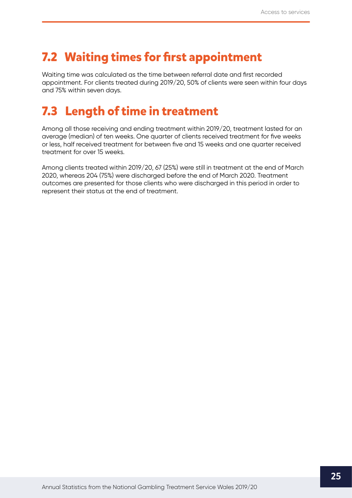### <span id="page-25-0"></span>**7.2 Waiting times for first appointment**

Waiting time was calculated as the time between referral date and first recorded appointment. For clients treated during 2019/20, 50% of clients were seen within four days and 75% within seven days.

### **7.3 Length of time in treatment**

Among all those receiving and ending treatment within 2019/20, treatment lasted for an average (median) of ten weeks. One quarter of clients received treatment for five weeks or less, half received treatment for between five and 15 weeks and one quarter received treatment for over 15 weeks.

Among clients treated within 2019/20, 67 (25%) were still in treatment at the end of March 2020, whereas 204 (75%) were discharged before the end of March 2020. Treatment outcomes are presented for those clients who were discharged in this period in order to represent their status at the end of treatment.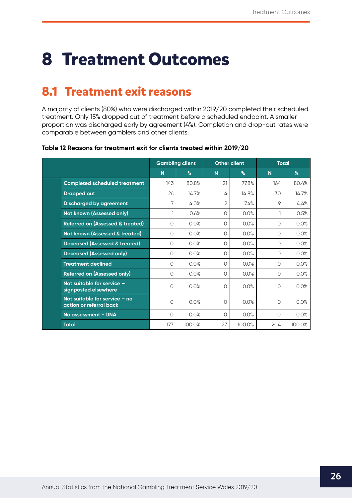## <span id="page-26-0"></span>**8 Treatment Outcomes**

### **8.1 Treatment exit reasons**

A majority of clients (80%) who were discharged within 2019/20 completed their scheduled treatment. Only 15% dropped out of treatment before a scheduled endpoint. A smaller proportion was discharged early by agreement (4%). Completion and drop-out rates were comparable between gamblers and other clients.

|                                                          |         | <b>Gambling client</b> | <b>Other client</b> |        | <b>Total</b>   |        |
|----------------------------------------------------------|---------|------------------------|---------------------|--------|----------------|--------|
|                                                          | N       | %                      | N                   | %      | N <sub>1</sub> | $\%$   |
| <b>Completed scheduled treatment</b>                     | 143     | 80.8%                  | 21                  | 77.8%  | 164            | 80.4%  |
| <b>Dropped out</b>                                       | 26      | 14.7%                  | 4                   | 14.8%  | 30             | 14.7%  |
| <b>Discharged by agreement</b>                           | 7       | 4.0%                   | $\overline{2}$      | 7.4%   | 9              | 4.4%   |
| Not known (Assessed only)                                | 1       | 0.6%                   | 0                   | 0.0%   | 1              | 0.5%   |
| <b>Referred on (Assessed &amp; treated)</b>              | 0       | 0.0%                   | 0                   | 0.0%   | 0              | 0.0%   |
| Not known (Assessed & treated)                           | $\circ$ | 0.0%                   | O                   | 0.0%   | 0              | 0.0%   |
| <b>Deceased (Assessed &amp; treated)</b>                 | $\circ$ | 0.0%                   | Ω                   | 0.0%   | $\circ$        | 0.0%   |
| <b>Deceased (Assessed only)</b>                          | 0       | 0.0%                   | 0                   | 0.0%   | 0              | 0.0%   |
| <b>Treatment declined</b>                                | $\circ$ | 0.0%                   | O                   | 0.0%   | $\circ$        | 0.0%   |
| <b>Referred on (Assessed only)</b>                       | 0       | 0.0%                   | $\Omega$            | 0.0%   | 0              | 0.0%   |
| Not suitable for service -<br>signposted elsewhere       | O       | 0.0%                   | $\Omega$            | 0.0%   | 0              | 0.0%   |
| Not suitable for service - no<br>action or referral back | O       | 0.0%                   | O                   | 0.0%   | 0              | 0.0%   |
| No assessment - DNA                                      | 0       | 0.0%                   | $\circ$             | 0.0%   | 0              | 0.0%   |
| <b>Total</b>                                             | 177     | 100.0%                 | 27                  | 100.0% | 204            | 100.0% |

#### **Table 12 Reasons for treatment exit for clients treated within 2019/20**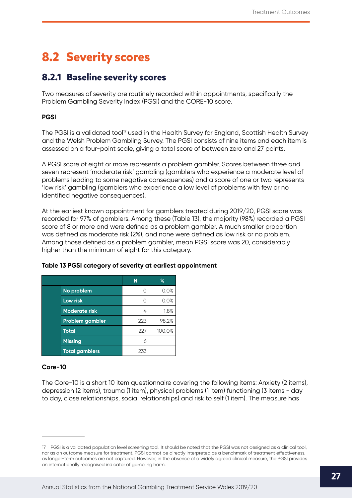### <span id="page-27-0"></span>**8.2 Severity scores**

### **8.2.1 Baseline severity scores**

Two measures of severity are routinely recorded within appointments, specifically the Problem Gambling Severity Index (PGSI) and the CORE-10 score.

#### **PGSI**

The PGSI is a validated tool<sup>17</sup> used in the Health Survey for England, Scottish Health Survey and the Welsh Problem Gambling Survey. The PGSI consists of nine items and each item is assessed on a four-point scale, giving a total score of between zero and 27 points.

A PGSI score of eight or more represents a problem gambler. Scores between three and seven represent 'moderate risk' gambling (gamblers who experience a moderate level of problems leading to some negative consequences) and a score of one or two represents 'low risk' gambling (gamblers who experience a low level of problems with few or no identified negative consequences).

At the earliest known appointment for gamblers treated during 2019/20, PGSI score was recorded for 97% of gamblers. Among these (Table 13), the majority (98%) recorded a PGSI score of 8 or more and were defined as a problem gambler. A much smaller proportion was defined as moderate risk (2%), and none were defined as low risk or no problem. Among those defined as a problem gambler, mean PGSI score was 20, considerably higher than the minimum of eight for this category.

|                       | N   | $\%$   |
|-----------------------|-----|--------|
| No problem            |     | 0.0%   |
| <b>Low risk</b>       |     | 0.0%   |
| <b>Moderate risk</b>  | 4   | 1.8%   |
| Problem gambler       | 223 | 98.2%  |
| <b>Total</b>          | 227 | 100.0% |
| <b>Missing</b>        | 6   |        |
| <b>Total gamblers</b> | 233 |        |

#### **Table 13 PGSI category of severity at earliest appointment**

#### **Core-10**

The Core-10 is a short 10 item questionnaire covering the following items: Anxiety (2 items), depression (2 items), trauma (1 item), physical problems (1 item) functioning (3 items - day to day, close relationships, social relationships) and risk to self (1 item). The measure has

<sup>17</sup> PGSI is a validated population level screening tool. It should be noted that the PGSI was not designed as a clinical tool, nor as an outcome measure for treatment. PGSI cannot be directly interpreted as a benchmark of treatment effectiveness, as longer-term outcomes are not captured. However, in the absence of a widely agreed clinical measure, the PGSI provides an internationally recognised indicator of gambling harm.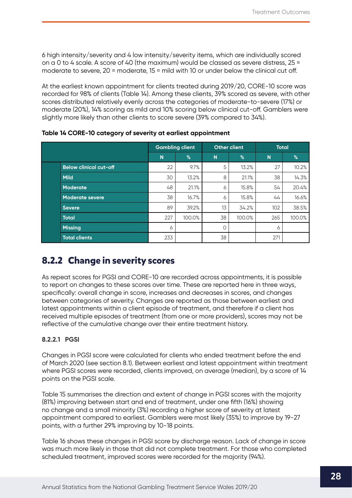<span id="page-28-0"></span>6 high intensity/severity and 4 low intensity/severity items, which are individually scored on a 0 to 4 scale. A score of 40 (the maximum) would be classed as severe distress, 25 = moderate to severe, 20 = moderate, 15 = mild with 10 or under below the clinical cut off.

At the earliest known appointment for clients treated during 2019/20, CORE-10 score was recorded for 98% of clients (Table 14). Among these clients, 39% scored as severe, with other scores distributed relatively evenly across the categories of moderate-to-severe (17%) or moderate (20%), 14% scoring as mild and 10% scoring below clinical cut-off. Gamblers were slightly more likely than other clients to score severe (39% compared to 34%).

|                               | <b>Gambling client</b> |        |    | Other client | <b>Total</b> |        |
|-------------------------------|------------------------|--------|----|--------------|--------------|--------|
|                               | N.                     | %      | N  | $\%$         | N            | %      |
| <b>Below clinical cut-off</b> | 22                     | 9.7%   | 5  | 13.2%        | 27           | 10.2%  |
| <b>Mild</b>                   | 30                     | 13.2%  | 8  | 21.1%        | 38           | 14.3%  |
| <b>Moderate</b>               | 48                     | 21.1%  | 6  | 15.8%        | 54           | 20.4%  |
| <b>Moderate severe</b>        | 38                     | 16.7%  | 6  | 15.8%        | 44           | 16.6%  |
| <b>Severe</b>                 | 89                     | 39.2%  | 13 | 34.2%        | 102          | 38.5%  |
| <b>Total</b>                  | 227                    | 100.0% | 38 | 100.0%       | 265          | 100.0% |
| <b>Missing</b>                | 6                      |        | 0  |              | 6            |        |
| <b>Total clients</b>          | 233                    |        | 38 |              | 271          |        |

**Table 14 CORE-10 category of severity at earliest appointment**

### **8.2.2 Change in severity scores**

As repeat scores for PGSI and CORE-10 are recorded across appointments, it is possible to report on changes to these scores over time. These are reported here in three ways, specifically: overall change in score, increases and decreases in scores, and changes between categories of severity. Changes are reported as those between earliest and latest appointments within a client episode of treatment, and therefore if a client has received multiple episodes of treatment (from one or more providers), scores may not be reflective of the cumulative change over their entire treatment history.

#### **8.2.2.1 PGSI**

Changes in PGSI score were calculated for clients who ended treatment before the end of March 2020 (see section 8.1). Between earliest and latest appointment within treatment where PGSI scores were recorded, clients improved, on average (median), by a score of 14 points on the PGSI scale.

Table 15 summarises the direction and extent of change in PGSI scores with the majority (81%) improving between start and end of treatment, under one fifth (16%) showing no change and a small minority (3%) recording a higher score of severity at latest appointment compared to earliest. Gamblers were most likely (35%) to improve by 19-27 points, with a further 29% improving by 10-18 points.

Table 16 shows these changes in PGSI score by discharge reason. Lack of change in score was much more likely in those that did not complete treatment. For those who completed scheduled treatment, improved scores were recorded for the majority (94%).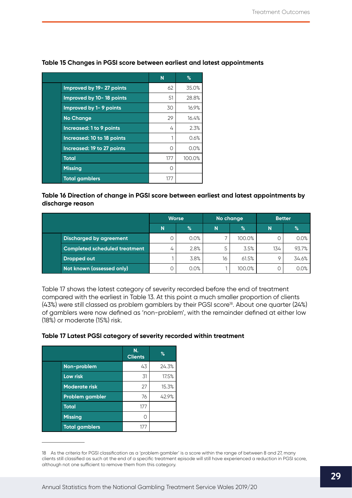|                            | N   | %      |
|----------------------------|-----|--------|
| Improved by 19-27 points   | 62  | 35.0%  |
| Improved by 10-18 points   | 51  | 28.8%  |
| Improved by 1-9 points     | 30  | 16.9%  |
| <b>No Change</b>           | 29  | 16.4%  |
| Increased: 1 to 9 points   | 4   | 2.3%   |
| Increased: 10 to 18 points |     | 0.6%   |
| Increased: 19 to 27 points | ∩   | 0.0%   |
| <b>Total</b>               | 177 | 100.0% |
| <b>Missing</b>             | Ω   |        |
| <b>Total gamblers</b>      | 177 |        |

#### **Table 15 Changes in PGSI score between earliest and latest appointments**

#### **Table 16 Direction of change in PGSI score between earliest and latest appointments by discharge reason**

|                                      | <b>Worse</b><br>N<br>$\frac{9}{6}$ |      | No change |        | <b>Better</b> |       |
|--------------------------------------|------------------------------------|------|-----------|--------|---------------|-------|
|                                      |                                    |      | N         | %      | N             | %     |
| <b>Discharged by agreement</b>       |                                    | 0.0% |           | 100.0% |               | 0.0%  |
| <b>Completed scheduled treatment</b> | 4                                  | 2.8% |           | 3.5%   | 134           | 93.7% |
| Dropped out                          |                                    | 3.8% | 16        | 61.5%  |               | 34.6% |
| Not known (assessed only)            | 0                                  | 0.0% |           | 100.0% |               | 0.0%  |

Table 17 shows the latest category of severity recorded before the end of treatment compared with the earliest in Table 13. At this point a much smaller proportion of clients (43%) were still classed as problem gamblers by their PGSI score<sup>18</sup>. About one quarter (24%) of gamblers were now defined as 'non-problem', with the remainder defined at either low (18%) or moderate (15%) risk.

#### **Table 17 Latest PGSI category of severity recorded within treatment**

|                       | N.<br><b>Clients</b> | %     |
|-----------------------|----------------------|-------|
| Non-problem           | 43                   | 24.3% |
| <b>Low risk</b>       | 31                   | 17.5% |
| <b>Moderate risk</b>  | 27                   | 15.3% |
| Problem gambler       | 76                   | 42.9% |
| <b>Total</b>          | 177                  |       |
| <b>Missing</b>        |                      |       |
| <b>Total gamblers</b> | 177                  |       |

<sup>18</sup> As the criteria for PGSI classification as a 'problem gambler' is a score within the range of between 8 and 27, many clients still classified as such at the end of a specific treatment episode will still have experienced a reduction in PGSI score, although not one sufficient to remove them from this category.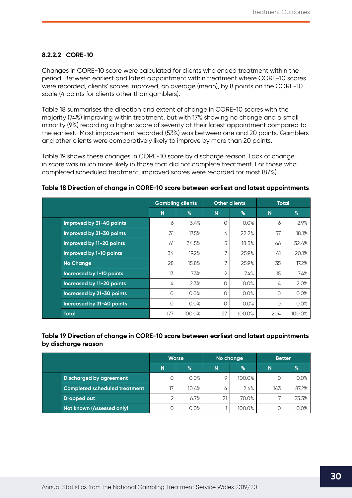#### <span id="page-30-0"></span>**8.2.2.2 CORE-10**

Changes in CORE-10 score were calculated for clients who ended treatment within the period. Between earliest and latest appointment within treatment where CORE-10 scores were recorded, clients' scores improved, on average (mean), by 8 points on the CORE-10 scale (4 points for clients other than gamblers).

Table 18 summarises the direction and extent of change in CORE-10 scores with the majority (74%) improving within treatment, but with 17% showing no change and a small minority (9%) recording a higher score of severity at their latest appointment compared to the earliest. Most improvement recorded (53%) was between one and 20 points. Gamblers and other clients were comparatively likely to improve by more than 20 points.

Table 19 shows these changes in CORE-10 score by discharge reason. Lack of change in score was much more likely in those that did not complete treatment. For those who completed scheduled treatment, improved scores were recorded for most (87%).

|                                  |     | <b>Gambling clients</b> |                | <b>Other clients</b> |         | <b>Total</b> |
|----------------------------------|-----|-------------------------|----------------|----------------------|---------|--------------|
|                                  | N   | %                       | N              | %                    | N       | %            |
| Improved by 31-40 points         | 6   | 3.4%                    | Ο              | 0.0%                 | 6       | 2.9%         |
| Improved by 21-30 points         | 31  | 17.5%                   | 6              | 22.2%                | 37      | 18.1%        |
| Improved by 11-20 points         | 61  | 34.5%                   | 5              | 18.5%                | 66      | 32.4%        |
| Improved by 1-10 points          | 34  | 19.2%                   |                | 25.9%                | 41      | 20.1%        |
| <b>No Change</b>                 | 28  | 15.8%                   | $\overline{ }$ | 25.9%                | 35      | 17.2%        |
| <b>Increased by 1-10 points</b>  | 13  | 7.3%                    | 2              | 7.4%                 | 15      | 7.4%         |
| Increased by 11-20 points        | 4   | 2.3%                    | Ο              | 0.0%                 | 4       | 2.0%         |
| Increased by 21-30 points        | 0   | 0.0%                    | 0              | 0.0%                 | O       | 0.0%         |
| <b>Increased by 31-40 points</b> | 0   | 0.0%                    | $\Omega$       | 0.0%                 | $\circ$ | 0.0%         |
| <b>Total</b>                     | 177 | 100.0%                  | 27             | 100.0%               | 204     | 100.0%       |

#### **Table 18 Direction of change in CORE-10 score between earliest and latest appointments**

#### **Table 19 Direction of change in CORE-10 score between earliest and latest appointments by discharge reason**

|                                      | <b>Worse</b><br>%<br>N |       | No change |        | <b>Better</b> |       |
|--------------------------------------|------------------------|-------|-----------|--------|---------------|-------|
|                                      |                        |       | N         | $\%$   | N             | %     |
| <b>Discharged by agreement</b>       | 0                      | 0.0%  |           | 100.0% |               | 0.0%  |
| <b>Completed scheduled treatment</b> | 17                     | 10.4% | 4         | 2.4%   | 143           | 87.2% |
| <b>Dropped out</b>                   | $\overline{2}$         | 6.7%  | 21        | 70.0%  |               | 23.3% |
| Not known (Assessed only)            | 0                      | 0.0%  |           | 100.0% |               | 0.0%  |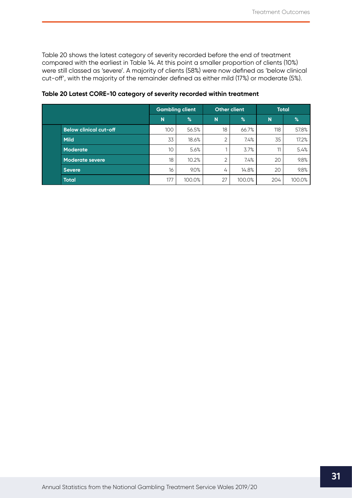Table 20 shows the latest category of severity recorded before the end of treatment compared with the earliest in Table 14. At this point a smaller proportion of clients (10%) were still classed as 'severe'. A majority of clients (58%) were now defined as 'below clinical cut-off', with the majority of the remainder defined as either mild (17%) or moderate (5%).

|                               | <b>Gambling client</b> |        | <b>Other client</b> |        | <b>Total</b> |        |
|-------------------------------|------------------------|--------|---------------------|--------|--------------|--------|
|                               | N                      | $\%$   | N                   | $\%$   | N            | $\%$   |
| <b>Below clinical cut-off</b> | 100                    | 56.5%  | 18                  | 66.7%  | 118          | 57.8%  |
| <b>Mild</b>                   | 33                     | 18.6%  | $\overline{2}$      | 7.4%   | 35           | 17.2%  |
| Moderate                      | 10 <sup>°</sup>        | 5.6%   |                     | 3.7%   | 11           | 5.4%   |
| <b>Moderate severe</b>        | 18                     | 10.2%  | $\overline{2}$      | 7.4%   | 20           | 9.8%   |
| <b>Severe</b>                 | 16                     | 9.0%   | 4                   | 14.8%  | 20           | 9.8%   |
| <b>Total</b>                  | 177                    | 100.0% | 27                  | 100.0% | 204          | 100.0% |

**Table 20 Latest CORE-10 category of severity recorded within treatment**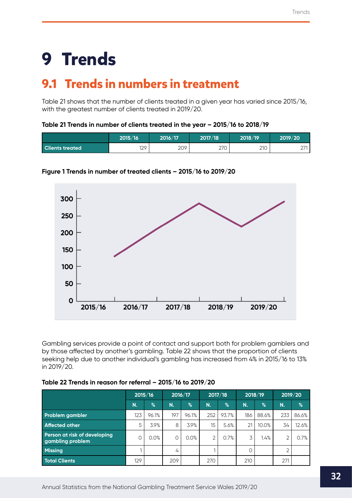# <span id="page-32-0"></span>**9 Trends**

### **9.1 Trends in numbers in treatment**

Table 21 shows that the number of clients treated in a given year has varied since 2015/16, with the greatest number of clients treated in 2019/20.

#### **Table 21 Trends in number of clients treated in the year – 2015/16 to 2018/19**

|                        | 2015/16 | 2016/17 | 2017/18 | 2018/19 | 2019/20              |
|------------------------|---------|---------|---------|---------|----------------------|
| <b>Clients treated</b> | 129     | 209     | 270     | 210     | $\sim$ $\sim$<br>ا ک |



#### **Figure 1 Trends in number of treated clients – 2015/16 to 2019/20**

Gambling services provide a point of contact and support both for problem gamblers and by those affected by another's gambling. Table 22 shows that the proportion of clients seeking help due to another individual's gambling has increased from 4% in 2015/16 to 13% in 2019/20.

| Table 22 Trends in reason for referral - 2015/16 to 2019/20 |
|-------------------------------------------------------------|
|-------------------------------------------------------------|

|                                                  | 2015/16 |               | 2016/17 |       | 2017/18 |               | 2018/19 |       | 2019/20 |       |
|--------------------------------------------------|---------|---------------|---------|-------|---------|---------------|---------|-------|---------|-------|
|                                                  | N.      | $\frac{1}{2}$ | N.      | $\%$  | N.      | $\frac{9}{6}$ | N.      | %     | N.      | $\%$  |
| <b>Problem gambler</b>                           | 123     | 96.1%         | 197     | 96.1% | 252     | 93.7%         | 186     | 88.6% | 233     | 86.6% |
| <b>Affected other</b>                            | 5       | 3.9%          | 8       | 3.9%  | 15      | 5.6%          | 21      | 10.0% | 34      | 12.6% |
| Person at risk of developing<br>gambling problem | 0       | 0.0%          | C       | 0.0%  | 2       | 0.7%          | 3       | 1.4%  | 2       | 0.7%  |
| <b>Missing</b>                                   |         |               | 4       |       |         |               | 0       |       | ⌒       |       |
| <b>Total Clients</b>                             | 129     |               | 209     |       | 270     |               | 210     |       | 271     |       |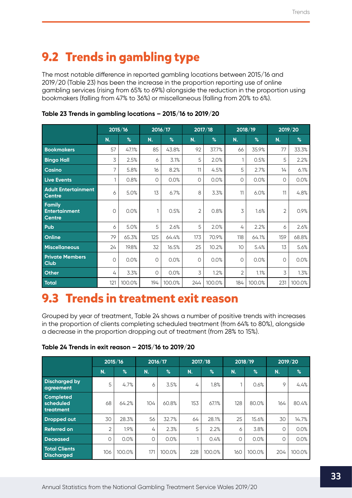## <span id="page-33-0"></span>**9.2 Trends in gambling type**

The most notable difference in reported gambling locations between 2015/16 and 2019/20 (Table 23) has been the increase in the proportion reporting use of online gambling services (rising from 65% to 69%) alongside the reduction in the proportion using bookmakers (falling from 47% to 36%) or miscellaneous (falling from 20% to 6%).

|                                                        |              | 2015/16 |     | 2016/17 |                | 2017/18 |                | 2018/19 |                | 2019/20 |
|--------------------------------------------------------|--------------|---------|-----|---------|----------------|---------|----------------|---------|----------------|---------|
|                                                        | N.           | %       | N.  | $\%$    | N.             | $\%$    | N.             | %       | N.             | $\%$    |
| <b>Bookmakers</b>                                      | 57           | 47.1%   | 85  | 43.8%   | 92             | 37.7%   | 66             | 35.9%   | 77             | 33.3%   |
| <b>Bingo Hall</b>                                      | 3            | 2.5%    | 6   | 3.1%    | 5              | 2.0%    |                | 0.5%    | 5              | 2.2%    |
| <b>Casino</b>                                          | 7            | 5.8%    | 16  | 8.2%    | 11             | 4.5%    | 5              | 2.7%    | 14             | 6.1%    |
| <b>Live Events</b>                                     | $\mathbf{1}$ | 0.8%    | 0   | 0.0%    | $\circ$        | 0.0%    | 0              | 0.0%    | 0              | 0.0%    |
| <b>Adult Entertainment</b><br><b>Centre</b>            | 6            | 5.0%    | 13  | 6.7%    | 8              | 3.3%    | 11             | 6.0%    | 11             | 4.8%    |
| <b>Family</b><br><b>Entertainment</b><br><b>Centre</b> | 0            | 0.0%    | 1   | 0.5%    | $\overline{2}$ | 0.8%    | 3              | 1.6%    | $\overline{c}$ | 0.9%    |
| Pub                                                    | 6            | 5.0%    | 5   | 2.6%    | 5              | 2.0%    | 4              | 2.2%    | 6              | 2.6%    |
| Online                                                 | 79           | 65.3%   | 125 | 64.4%   | 173            | 70.9%   | 118            | 64.1%   | 159            | 68.8%   |
| <b>Miscellaneous</b>                                   | 24           | 19.8%   | 32  | 16.5%   | 25             | 10.2%   | 10             | 5.4%    | 13             | 5.6%    |
| <b>Private Members</b><br><b>Club</b>                  | 0            | 0.0%    | 0   | 0.0%    | $\circ$        | 0.0%    | 0              | 0.0%    | O              | 0.0%    |
| <b>Other</b>                                           | 4            | 3.3%    | 0   | 0.0%    | 3              | 1.2%    | $\overline{2}$ | 1.1%    | 3              | 1.3%    |
| Total                                                  | 121          | 100.0%  | 194 | 100.0%  | 244            | 100.0%  | 184            | 100.0%  | 231            | 100.0%  |

### **Table 23 Trends in gambling locations – 2015/16 to 2019/20**

### **9.3 Trends in treatment exit reason**

Grouped by year of treatment, Table 24 shows a number of positive trends with increases in the proportion of clients completing scheduled treatment (from 64% to 80%), alongside a decrease in the proportion dropping out of treatment (from 28% to 15%).

| Table 24 Trends in exit reason - 2015/16 to 2019/20 |  |  |  |
|-----------------------------------------------------|--|--|--|
|-----------------------------------------------------|--|--|--|

|                                            |     | 2015/16       |     | 2016/17 |     | 2017/18 |          | 2018/19       | 2019/20 |        |
|--------------------------------------------|-----|---------------|-----|---------|-----|---------|----------|---------------|---------|--------|
|                                            | N.  | $\frac{9}{6}$ | N.  | $\%$    | N.  | %       | N.       | $\frac{1}{6}$ | N.      | %      |
| <b>Discharged by</b><br>agreement          | 5   | 4.7%          | 6   | 3.5%    | 4   | 1.8%    |          | 0.6%          | 9       | 4.4%   |
| <b>Completed</b><br>scheduled<br>treatment | 68  | 64.2%         | 104 | 60.8%   | 153 | 67.1%   | 128      | 80.0%         | 164     | 80.4%  |
| <b>Dropped out</b>                         | 30  | 28.3%         | 56  | 32.7%   | 64  | 28.1%   | 25       | 15.6%         | 30      | 14.7%  |
| <b>Referred on</b>                         | 2   | 1.9%          | 4   | 2.3%    | 5   | 2.2%    | 6        | 3.8%          | 0       | 0.0%   |
| <b>Deceased</b>                            | O   | 0.0%          | 0   | 0.0%    |     | 0.4%    | $\Omega$ | 0.0%          | 0       | 0.0%   |
| <b>Total Clients</b><br><b>Discharged</b>  | 106 | 100.0%        | 171 | 100.0%  | 228 | 100.0%  | 160      | 100.0%        | 204     | 100.0% |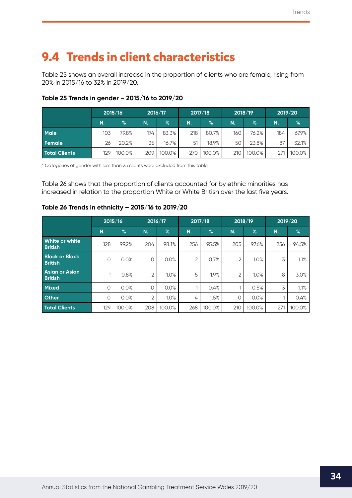## <span id="page-34-0"></span>**9.4 Trends in client characteristics**

Table 25 shows an overall increase in the proportion of clients who are female, rising from 20% in 2015/16 to 32% in 2019/20.

|                      | 2015/16 |        | 2016/17 |        | 2017/18 |        | 2018/19 |        | 2019/20 |        |
|----------------------|---------|--------|---------|--------|---------|--------|---------|--------|---------|--------|
|                      | N.      | $\%$   | N.      | $\%$   | N.      | %      | N.      | $\%$   | N.      | $\%$   |
| <b>Male</b>          | 103     | 79.8%  | 174     | 83.3%  | 218     | 80.7%  | 160     | 76.2%  | 184     | 67.9%  |
| Female               | 26      | 20.2%  | 35      | 16.7%  | 51      | 18.9%  | 50      | 23.8%  | 87      | 32.1%  |
| <b>Total Clients</b> | 129     | 100.0% | 209     | 100.0% | 270     | 100.0% | 210     | 100.0% | 27      | 100.0% |

### **Table 25 Trends in gender – 2015/16 to 2019/20**

\* Categories of gender with less than 25 clients were excluded from this table

Table 26 shows that the proportion of clients accounted for by ethnic minorities has increased in relation to the proportion White or White British over the last five years.

### **Table 26 Trends in ethnicity – 2015/16 to 2019/20**

|                                         |         | 2015/16       |                | 2016/17       |                | 2017/18       | 2018/19 |        | 2019/20 |        |
|-----------------------------------------|---------|---------------|----------------|---------------|----------------|---------------|---------|--------|---------|--------|
|                                         | N.      | $\frac{9}{6}$ | N.             | $\frac{9}{6}$ | N.             | $\frac{9}{6}$ | N.      | $\%$   | N.      | $\%$   |
| <b>White or white</b><br><b>British</b> | 128     | 99.2%         | 204            | 98.1%         | 256            | 95.5%         | 205     | 97.6%  | 256     | 94.5%  |
| <b>Black or Black</b><br><b>British</b> | $\circ$ | 0.0%          | 0              | 0.0%          | $\overline{2}$ | 0.7%          | 2       | 1.0%   | 3       | 1.1%   |
| <b>Asian or Asian</b><br><b>British</b> | 1       | 0.8%          | 2              | 1.0%          | 5              | 1.9%          | 2       | 1.0%   | 8       | 3.0%   |
| <b>Mixed</b>                            | $\circ$ | 0.0%          | $\Omega$       | 0.0%          |                | 0.4%          |         | 0.5%   | 3       | 1.1%   |
| <b>Other</b>                            | $\circ$ | 0.0%          | $\overline{2}$ | 1.0%          | 4              | 1.5%          | 0       | 0.0%   |         | 0.4%   |
| <b>Total Clients</b>                    | 129     | 100.0%        | 208            | 100.0%        | 268            | 100.0%        | 210     | 100.0% | 271     | 100.0% |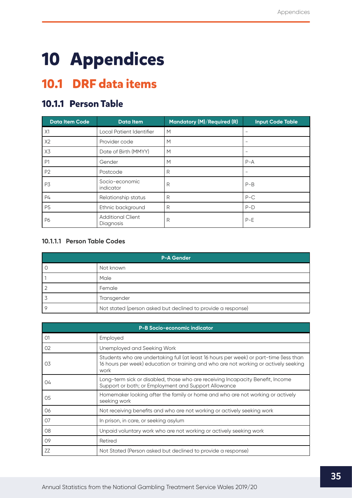# <span id="page-35-0"></span>**10 Appendices**

### **10.1 DRF data items**

### **10.1.1 Person Table**

| <b>Data Item Code</b> | <b>Data Item</b>                      | Mandatory (M)/Required (R) | <b>Input Code Table</b> |
|-----------------------|---------------------------------------|----------------------------|-------------------------|
| X1                    | Local Patient Identifier              | M                          |                         |
| X2                    | Provider code                         | M                          | -                       |
| X3                    | Date of Birth (MMYY)                  | M                          |                         |
| P <sub>1</sub>        | Gender                                | M                          | $P - A$                 |
| P <sub>2</sub>        | Postcode                              | R                          |                         |
| P3                    | Socio-economic<br>indicator           | R                          | $P-B$                   |
| P4                    | Relationship status                   | R                          | $P-C$                   |
| P <sub>5</sub>        | Ethnic background                     | R                          | $P-D$                   |
| P6                    | <b>Additional Client</b><br>Diagnosis | R                          | $P-E$                   |

#### **10.1.1.1 Person Table Codes**

| P-A Gender                                                   |
|--------------------------------------------------------------|
| Not known                                                    |
| Male                                                         |
| Female                                                       |
| Transgender                                                  |
| Not stated (person asked but declined to provide a response) |

|                | <b>P-B Socio-economic indicator</b>                                                                                                                                                    |
|----------------|----------------------------------------------------------------------------------------------------------------------------------------------------------------------------------------|
| O <sub>1</sub> | Employed                                                                                                                                                                               |
| 02             | Unemployed and Seeking Work                                                                                                                                                            |
| 03             | Students who are undertaking full (at least 16 hours per week) or part-time (less than<br>16 hours per week) education or training and who are not working or actively seeking<br>work |
| 04             | Long-term sick or disabled, those who are receiving Incapacity Benefit, Income<br>Support or both; or Employment and Support Allowance                                                 |
| 05             | Homemaker looking after the family or home and who are not working or actively<br>seeking work                                                                                         |
| 06             | Not receiving benefits and who are not working or actively seeking work                                                                                                                |
| 07             | In prison, in care, or seeking asylum                                                                                                                                                  |
| 08             | Unpaid voluntary work who are not working or actively seeking work                                                                                                                     |
| 09             | Retired                                                                                                                                                                                |
| ZZ             | Not Stated (Person asked but declined to provide a response)                                                                                                                           |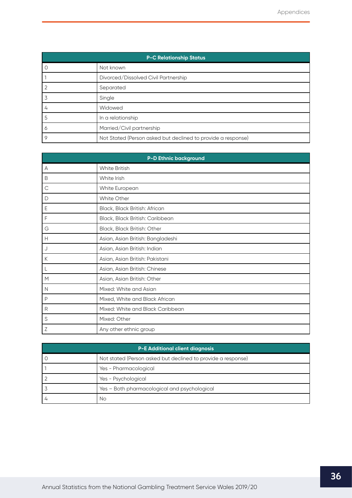|   | <b>P-C Relationship Status</b>                               |  |  |  |  |  |  |
|---|--------------------------------------------------------------|--|--|--|--|--|--|
| U | Not known                                                    |  |  |  |  |  |  |
|   | Divorced/Dissolved Civil Partnership                         |  |  |  |  |  |  |
|   | Separated                                                    |  |  |  |  |  |  |
| 3 | Single                                                       |  |  |  |  |  |  |
| 4 | Widowed                                                      |  |  |  |  |  |  |
| 5 | In a relationship                                            |  |  |  |  |  |  |
| Ô | Married/Civil partnership                                    |  |  |  |  |  |  |
| 9 | Not Stated (Person asked but declined to provide a response) |  |  |  |  |  |  |

| <b>P-D Ethnic background</b> |                                   |  |
|------------------------------|-----------------------------------|--|
| A                            | <b>White British</b>              |  |
| B                            | White Irish                       |  |
| $\mathsf C$                  | White European                    |  |
| D                            | <b>White Other</b>                |  |
| Ε                            | Black, Black British: African     |  |
| F                            | Black, Black British: Caribbean   |  |
| G                            | Black, Black British: Other       |  |
| Н                            | Asian, Asian British: Bangladeshi |  |
| J                            | Asian, Asian British: Indian      |  |
| К                            | Asian, Asian British: Pakistani   |  |
| L                            | Asian, Asian British: Chinese     |  |
| M                            | Asian, Asian British: Other       |  |
| N                            | Mixed: White and Asian            |  |
| P                            | Mixed, White and Black African    |  |
| R                            | Mixed: White and Black Caribbean  |  |
| S                            | Mixed: Other                      |  |
| Ζ                            | Any other ethnic group            |  |

| <b>P-E Additional client diagnosis</b> |                                                              |  |
|----------------------------------------|--------------------------------------------------------------|--|
|                                        | Not stated (Person asked but declined to provide a response) |  |
|                                        | Yes - Pharmacological                                        |  |
|                                        | Yes - Psychological                                          |  |
|                                        | Yes - Both pharmacological and psychological                 |  |
|                                        | Nο                                                           |  |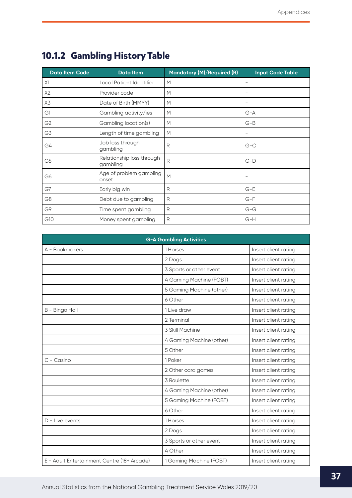| <b>Data Item Code</b> | <b>Data Item</b>                      | Mandatory (M)/Required (R) | <b>Input Code Table</b>  |
|-----------------------|---------------------------------------|----------------------------|--------------------------|
| X1                    | Local Patient Identifier              | M                          | $\overline{\phantom{0}}$ |
| X2                    | Provider code                         | M                          | $\qquad \qquad -$        |
| X3                    | Date of Birth (MMYY)                  | M                          |                          |
| G1                    | Gambling activity/ies                 | M                          | $G-A$                    |
| G <sub>2</sub>        | Gambling location(s)                  | M                          | $G-B$                    |
| G3                    | Length of time gambling               | M                          |                          |
| G4                    | Job loss through<br>gambling          | R                          | $G-C$                    |
| G <sub>5</sub>        | Relationship loss through<br>gambling | R                          | $G-D$                    |
| G6                    | Age of problem gambling<br>onset      | M                          | $\overline{\phantom{0}}$ |
| G7                    | Early big win                         | R                          | $G-E$                    |
| G <sub>8</sub>        | Debt due to gambling                  | R                          | $G-F$                    |
| G9                    | Time spent gambling                   | R                          | $G-G$                    |
| G10                   | Money spent gambling                  | R                          | $G-H$                    |

### <span id="page-37-0"></span>**10.1.2 Gambling History Table**

| <b>G-A Gambling Activities</b>              |                          |                      |
|---------------------------------------------|--------------------------|----------------------|
| A - Bookmakers                              | 1 Horses                 | Insert client rating |
|                                             | 2 Dogs                   | Insert client rating |
|                                             | 3 Sports or other event  | Insert client rating |
|                                             | 4 Gaming Machine (FOBT)  | Insert client rating |
|                                             | 5 Gaming Machine (other) | Insert client rating |
|                                             | 6 Other                  | Insert client rating |
| B - Bingo Hall                              | 1 Live draw              | Insert client rating |
|                                             | 2 Terminal               | Insert client rating |
|                                             | 3 Skill Machine          | Insert client rating |
|                                             | 4 Gaming Machine (other) | Insert client rating |
|                                             | 5 Other                  | Insert client rating |
| C - Casino                                  | 1 Poker                  | Insert client rating |
|                                             | 2 Other card games       | Insert client rating |
|                                             | 3 Roulette               | Insert client rating |
|                                             | 4 Gaming Machine (other) | Insert client rating |
|                                             | 5 Gaming Machine (FOBT)  | Insert client rating |
|                                             | 6 Other                  | Insert client rating |
| D - Live events                             | 1 Horses                 | Insert client rating |
|                                             | 2 Dogs                   | Insert client rating |
|                                             | 3 Sports or other event  | Insert client rating |
|                                             | 4 Other                  | Insert client rating |
| E - Adult Entertainment Centre (18+ Arcade) | 1 Gaming Machine (FOBT)  | Insert client rating |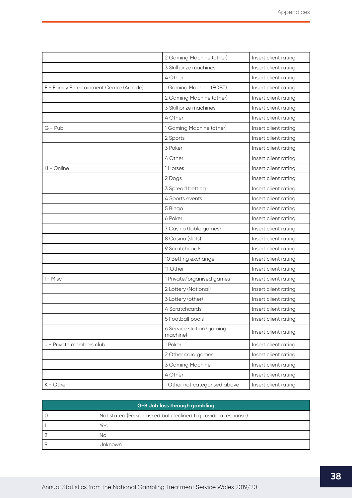<span id="page-38-0"></span>

|                                          | 2 Gaming Machine (other)              | Insert client rating |
|------------------------------------------|---------------------------------------|----------------------|
|                                          | 3 Skill prize machines                | Insert client rating |
|                                          | 4 Other                               | Insert client rating |
| F - Family Entertainment Centre (Arcade) | 1 Gaming Machine (FOBT)               | Insert client rating |
|                                          | 2 Gaming Machine (other)              | Insert client rating |
|                                          | 3 Skill prize machines                | Insert client rating |
|                                          | 4 Other                               | Insert client rating |
| $G - Pub$                                | 1 Gaming Machine (other)              | Insert client rating |
|                                          | 2 Sports                              | Insert client rating |
|                                          | 3 Poker                               | Insert client rating |
|                                          | 4 Other                               | Insert client rating |
| H - Online                               | 1 Horses                              | Insert client rating |
|                                          | 2 Dogs                                | Insert client rating |
|                                          | 3 Spread betting                      | Insert client rating |
|                                          | 4 Sports events                       | Insert client rating |
|                                          | 5 Bingo                               | Insert client rating |
|                                          | 6 Poker                               | Insert client rating |
|                                          | 7 Casino (table games)                | Insert client rating |
|                                          | 8 Casino (slots)                      | Insert client rating |
|                                          | 9 Scratchcards                        | Insert client rating |
|                                          | 10 Betting exchange                   | Insert client rating |
|                                          | 11 Other                              | Insert client rating |
| I - Misc                                 | 1 Private/organised games             | Insert client rating |
|                                          | 2 Lottery (National)                  | Insert client rating |
|                                          | 3 Lottery (other)                     | Insert client rating |
|                                          | 4 Scratchcards                        | Insert client rating |
|                                          | 5 Football pools                      | Insert client rating |
|                                          | 6 Service station (gaming<br>machine) | Insert client rating |
| J - Private members club                 | 1 Poker                               | Insert client rating |
|                                          | 2 Other card games                    | Insert client rating |
|                                          | 3 Gaming Machine                      | Insert client rating |
|                                          | 4 Other                               | Insert client rating |
| K - Other                                | 1 Other not categorised above         | Insert client rating |

| G-B Job loss through gambling |                                                              |  |
|-------------------------------|--------------------------------------------------------------|--|
|                               | Not stated (Person asked but declined to provide a response) |  |
|                               | Yes                                                          |  |
|                               | Νo                                                           |  |
| O                             | Jnknown                                                      |  |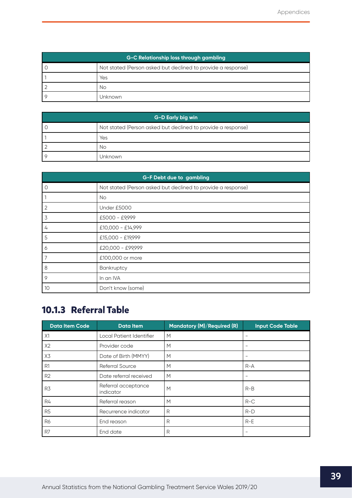<span id="page-39-0"></span>

| G-C Relationship loss through gambling |                                                              |  |
|----------------------------------------|--------------------------------------------------------------|--|
|                                        | Not stated (Person asked but declined to provide a response) |  |
|                                        | Yes                                                          |  |
|                                        | No                                                           |  |
|                                        | Jnknown                                                      |  |

| G-D Early big win |                                                              |  |
|-------------------|--------------------------------------------------------------|--|
|                   | Not stated (Person asked but declined to provide a response) |  |
|                   | Yes                                                          |  |
|                   | No                                                           |  |
|                   | Unknown                                                      |  |

| <b>G-F Debt due to gambling</b> |                                                              |  |
|---------------------------------|--------------------------------------------------------------|--|
| $\circ$                         | Not stated (Person asked but declined to provide a response) |  |
| $\overline{1}$                  | <b>No</b>                                                    |  |
| $\overline{2}$                  | Under £5000                                                  |  |
| 3                               | £5000 - £9,999                                               |  |
| 4                               | £10,000 - £14,999                                            |  |
| 5                               | £15,000 - £19,999                                            |  |
| 6                               | £20,000 - £99,999                                            |  |
| 7                               | £100,000 or more                                             |  |
| 8                               | Bankruptcy                                                   |  |
| 9                               | In an IVA                                                    |  |
| 10                              | Don't know (some)                                            |  |

### **10.1.3 Referral Table**

| <b>Data Item Code</b> | <b>Data Item</b>                 | Mandatory (M)/Required (R) | <b>Input Code Table</b> |
|-----------------------|----------------------------------|----------------------------|-------------------------|
| X1                    | Local Patient Identifier         | M                          |                         |
| X2                    | Provider code                    | M                          |                         |
| X3                    | Date of Birth (MMYY)             | M                          |                         |
| R <sub>1</sub>        | Referral Source                  | M                          | $R-A$                   |
| R2                    | Date referral received           | M                          |                         |
| R <sub>3</sub>        | Referral acceptance<br>indicator | M                          | $R-B$                   |
| R4                    | Referral reason                  | M                          | $R-C$                   |
| R <sub>5</sub>        | Recurrence indicator             | R                          | $R-D$                   |
| <b>R6</b>             | End reason                       | R                          | $R-E$                   |
| R7                    | End date                         | R                          |                         |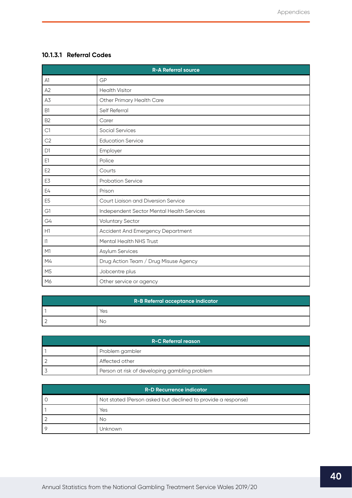### **10.1.3.1 Referral Codes**

| <b>R-A Referral source</b> |                                           |  |
|----------------------------|-------------------------------------------|--|
| A1                         | GP                                        |  |
| A2                         | <b>Health Visitor</b>                     |  |
| A3                         | Other Primary Health Care                 |  |
| <b>B1</b>                  | Self Referral                             |  |
| B <sub>2</sub>             | Carer                                     |  |
| C1                         | <b>Social Services</b>                    |  |
| C <sub>2</sub>             | <b>Education Service</b>                  |  |
| D <sub>1</sub>             | Employer                                  |  |
| E1                         | Police                                    |  |
| E <sub>2</sub>             | Courts                                    |  |
| E3                         | <b>Probation Service</b>                  |  |
| E4                         | Prison                                    |  |
| E <sub>5</sub>             | Court Liaison and Diversion Service       |  |
| G1                         | Independent Sector Mental Health Services |  |
| G4                         | <b>Voluntary Sector</b>                   |  |
| H1                         | Accident And Emergency Department         |  |
| 1                          | Mental Health NHS Trust                   |  |
| M1                         | Asylum Services                           |  |
| M4                         | Drug Action Team / Drug Misuse Agency     |  |
| M <sub>5</sub>             | Jobcentre plus                            |  |
| M6                         | Other service or agency                   |  |

| R-B Referral acceptance indicator |     |
|-----------------------------------|-----|
|                                   | Yes |
|                                   | NΟ  |

| R-C Referral reason |                                               |  |  |
|---------------------|-----------------------------------------------|--|--|
|                     | Problem gambler                               |  |  |
|                     | Affected other                                |  |  |
|                     | Person at risk of developing gambling problem |  |  |

| <b>R-D Recurrence indicator</b> |                                                              |  |  |
|---------------------------------|--------------------------------------------------------------|--|--|
|                                 | Not stated (Person asked but declined to provide a response) |  |  |
|                                 | Yes                                                          |  |  |
|                                 | Νo                                                           |  |  |
|                                 | Jnknown                                                      |  |  |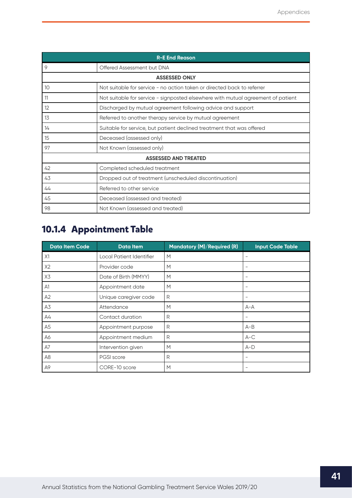<span id="page-41-0"></span>

| <b>R-E End Reason</b> |                                                                                  |  |  |
|-----------------------|----------------------------------------------------------------------------------|--|--|
| 9                     | Offered Assessment but DNA                                                       |  |  |
| <b>ASSESSED ONLY</b>  |                                                                                  |  |  |
| 10                    | Not suitable for service - no action taken or directed back to referrer          |  |  |
| 11                    | Not suitable for service - signposted elsewhere with mutual agreement of patient |  |  |
| 12                    | Discharged by mutual agreement following advice and support                      |  |  |
| 13                    | Referred to another therapy service by mutual agreement                          |  |  |
| 14                    | Suitable for service, but patient declined treatment that was offered            |  |  |
| 15                    | Deceased (assessed only)                                                         |  |  |
| 97                    | Not Known (assessed only)                                                        |  |  |
|                       | <b>ASSESSED AND TREATED</b>                                                      |  |  |
| 42                    | Completed scheduled treatment                                                    |  |  |
| 43                    | Dropped out of treatment (unscheduled discontinuation)                           |  |  |
| 44                    | Referred to other service                                                        |  |  |
| 45                    | Deceased (assessed and treated)                                                  |  |  |
| 98                    | Not Known (assessed and treated)                                                 |  |  |

### **10.1.4 Appointment Table**

| <b>Data Item Code</b> | <b>Data Item</b>         | Mandatory (M)/Required (R) | <b>Input Code Table</b>  |
|-----------------------|--------------------------|----------------------------|--------------------------|
| X1                    | Local Patient Identifier | M                          |                          |
| X2                    | Provider code            | M                          | $\overline{\phantom{0}}$ |
| X3                    | Date of Birth (MMYY)     | M                          | $\qquad \qquad -$        |
| A1                    | Appointment date         | M                          | $\qquad \qquad -$        |
| A2                    | Unique caregiver code    | R                          | $\qquad \qquad -$        |
| A3                    | Attendance               | М                          | $A - A$                  |
| А4                    | Contact duration         | R                          |                          |
| A5                    | Appointment purpose      | R                          | $A-B$                    |
| A6                    | Appointment medium       | R                          | $A-C$                    |
| A7                    | Intervention given       | M                          | $A-D$                    |
| A <sub>8</sub>        | <b>PGSI</b> score        | R                          | $\overline{\phantom{0}}$ |
| A9                    | CORE-10 score            | M                          | $\overline{\phantom{0}}$ |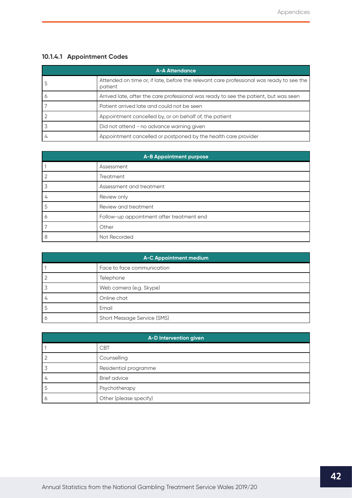### <span id="page-42-0"></span>**10.1.4.1 Appointment Codes**

| <b>A-A Attendance</b> |                                                                                                     |  |  |
|-----------------------|-----------------------------------------------------------------------------------------------------|--|--|
|                       | Attended on time or, if late, before the relevant care professional was ready to see the<br>patient |  |  |
|                       | Arrived late, after the care professional was ready to see the patient, but was seen                |  |  |
|                       | Patient arrived late and could not be seen                                                          |  |  |
|                       | Appointment cancelled by, or on behalf of, the patient                                              |  |  |
|                       | Did not attend - no advance warning given                                                           |  |  |
|                       | Appointment cancelled or postponed by the health care provider                                      |  |  |

| A-B Appointment purpose |                                           |  |  |
|-------------------------|-------------------------------------------|--|--|
|                         | Assessment                                |  |  |
|                         | Treatment                                 |  |  |
|                         | Assessment and treatment                  |  |  |
| 4                       | Review only                               |  |  |
| 5                       | Review and treatment                      |  |  |
| O                       | Follow-up appointment after treatment end |  |  |
|                         | Other                                     |  |  |
| 8                       | Not Recorded                              |  |  |

| A-C Appointment medium |                             |  |  |
|------------------------|-----------------------------|--|--|
|                        | Face to face communication  |  |  |
|                        | Telephone                   |  |  |
|                        | Web camera (e.g. Skype)     |  |  |
|                        | Online chat                 |  |  |
|                        | Email                       |  |  |
| O                      | Short Message Service (SMS) |  |  |

| A-D Intervention given |                        |  |  |
|------------------------|------------------------|--|--|
|                        | <b>CBT</b>             |  |  |
|                        | Counselling            |  |  |
|                        | Residential programme  |  |  |
| 4                      | <b>Brief advice</b>    |  |  |
|                        | Psychotherapy          |  |  |
| Ó                      | Other (please specify) |  |  |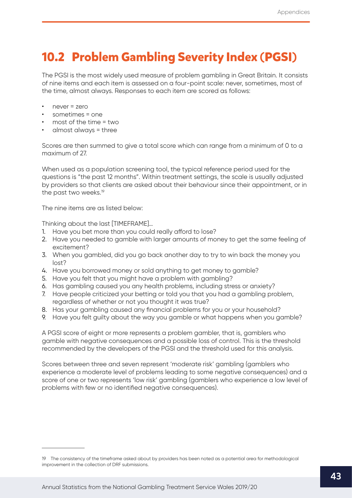### <span id="page-43-0"></span>**10.2 Problem Gambling Severity Index (PGSI)**

The PGSI is the most widely used measure of problem gambling in Great Britain. It consists of nine items and each item is assessed on a four-point scale: never, sometimes, most of the time, almost always. Responses to each item are scored as follows:

- never = zero
- sometimes = one
- most of the time = two
- almost always = three

Scores are then summed to give a total score which can range from a minimum of 0 to a maximum of 27.

When used as a population screening tool, the typical reference period used for the questions is "the past 12 months". Within treatment settings, the scale is usually adjusted by providers so that clients are asked about their behaviour since their appointment, or in the past two weeks.<sup>19</sup>

The nine items are as listed below:

Thinking about the last [TIMEFRAME]…

- 1. Have you bet more than you could really afford to lose?
- 2. Have you needed to gamble with larger amounts of money to get the same feeling of excitement?
- 3. When you gambled, did you go back another day to try to win back the money you lost?
- 4. Have you borrowed money or sold anything to get money to gamble?
- 5. Have you felt that you might have a problem with gambling?
- 6. Has gambling caused you any health problems, including stress or anxiety?
- 7. Have people criticized your betting or told you that you had a gambling problem, regardless of whether or not you thought it was true?
- 8. Has your gambling caused any financial problems for you or your household?
- 9. Have you felt guilty about the way you gamble or what happens when you gamble?

A PGSI score of eight or more represents a problem gambler, that is, gamblers who gamble with negative consequences and a possible loss of control. This is the threshold recommended by the developers of the PGSI and the threshold used for this analysis.

Scores between three and seven represent 'moderate risk' gambling (gamblers who experience a moderate level of problems leading to some negative consequences) and a score of one or two represents 'low risk' gambling (gamblers who experience a low level of problems with few or no identified negative consequences).

<sup>19</sup> The consistency of the timeframe asked about by providers has been noted as a potential area for methodological improvement in the collection of DRF submissions.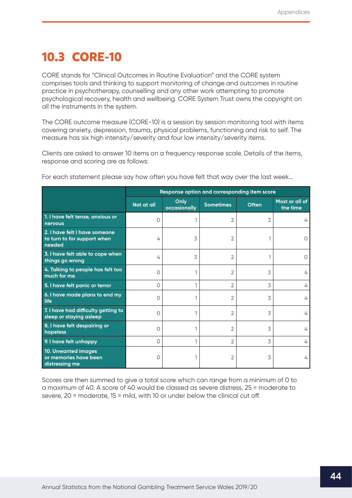### <span id="page-44-0"></span>**10.3 CORE-10**

CORE stands for "Clinical Outcomes in Routine Evaluation" and the CORE system comprises tools and thinking to support monitoring of change and outcomes in routine practice in psychotherapy, counselling and any other work attempting to promote psychological recovery, health and wellbeing. CORE System Trust owns the copyright on all the instruments in the system.

The CORE outcome measure (CORE-10) is a session by session monitoring tool with items covering anxiety, depression, trauma, physical problems, functioning and risk to self. The measure has six high intensity/severity and four low intensity/severity items.

Clients are asked to answer 10 items on a frequency response scale. Details of the items, response and scoring are as follows:

|                                                                        | Response option and corresponding item score |                      |                  |              |                            |
|------------------------------------------------------------------------|----------------------------------------------|----------------------|------------------|--------------|----------------------------|
|                                                                        | Not at all                                   | Only<br>occasionally | <b>Sometimes</b> | <b>Often</b> | Most or all of<br>the time |
| 1. I have felt tense, anxious or<br><b>nervous</b>                     | 0                                            |                      | 2                | 3            | 4                          |
| 2. I have felt I have someone<br>to turn to for support when<br>needed | 4                                            | 3                    | 2                |              |                            |
| 3. I have felt able to cope when<br>things go wrong                    | 4                                            | 3                    | 2                |              | $\left( \right)$           |
| 4. Talking to people has felt too<br>much for me                       | $\circ$                                      |                      | 2                | 3            | 4                          |
| 5. I have felt panic or terror                                         | $\Omega$                                     |                      | 2                | 3            | 4                          |
| 6. I have made plans to end my<br>life                                 | $\circ$                                      |                      | 2                | 3            | 4                          |
| 7. I have had difficulty getting to<br>sleep or staying asleep         | $\Omega$                                     |                      | $\overline{2}$   | 3            | 4                          |
| 8. I have felt despairing or<br>hopeless                               | $\cap$                                       |                      | 2                | 3            | 4                          |
| 9. I have felt unhappy                                                 | 0                                            |                      | 2                | 3            | 4                          |
| 10. Unwanted images<br>or memories have been<br>distressing me         | Ω                                            |                      | 2                | 3            | 4                          |

For each statement please say how often you have felt that way over the last week…

Scores are then summed to give a total score which can range from a minimum of 0 to a maximum of 40. A score of 40 would be classed as severe distress, 25 = moderate to severe, 20 = moderate, 15 = mild, with 10 or under below the clinical cut off.